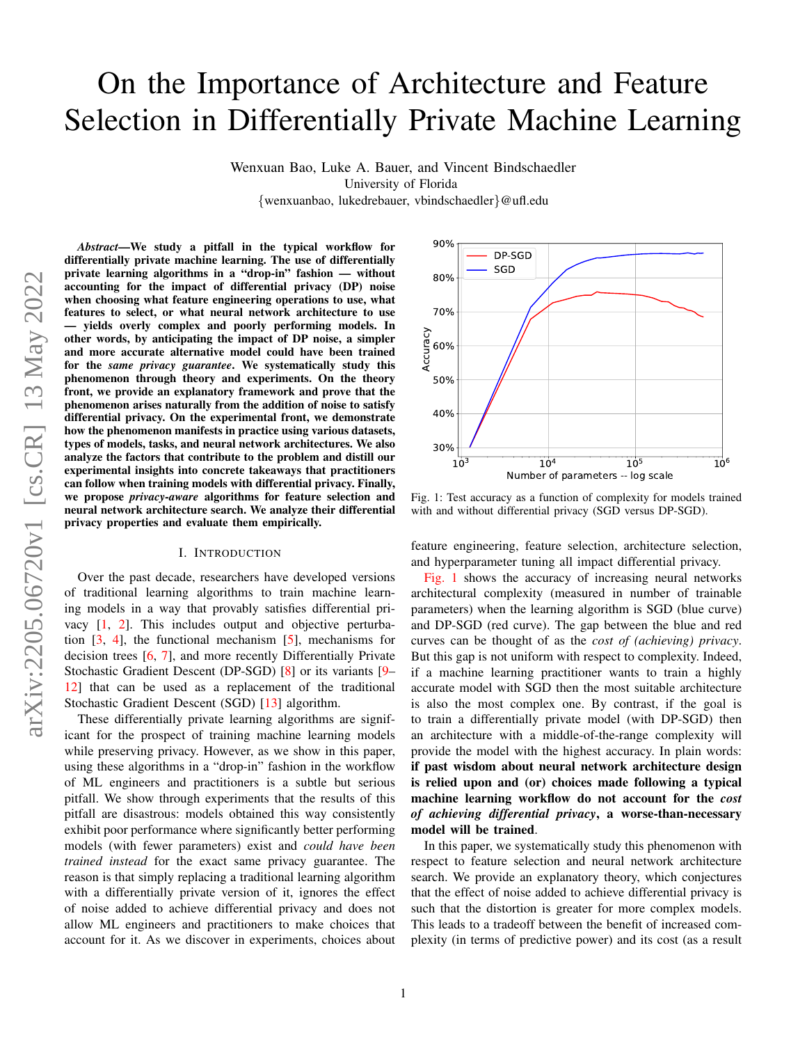# On the Importance of Architecture and Feature Selection in Differentially Private Machine Learning

Wenxuan Bao, Luke A. Bauer, and Vincent Bindschaedler University of Florida {wenxuanbao, lukedrebauer, vbindschaedler}@ufl.edu

*Abstract*—We study a pitfall in the typical workflow for differentially private machine learning. The use of differentially private learning algorithms in a "drop-in" fashion — without accounting for the impact of differential privacy (DP) noise when choosing what feature engineering operations to use, what features to select, or what neural network architecture to use — yields overly complex and poorly performing models. In other words, by anticipating the impact of DP noise, a simpler and more accurate alternative model could have been trained for the *same privacy guarantee*. We systematically study this phenomenon through theory and experiments. On the theory front, we provide an explanatory framework and prove that the phenomenon arises naturally from the addition of noise to satisfy differential privacy. On the experimental front, we demonstrate how the phenomenon manifests in practice using various datasets, types of models, tasks, and neural network architectures. We also analyze the factors that contribute to the problem and distill our experimental insights into concrete takeaways that practitioners can follow when training models with differential privacy. Finally, we propose *privacy-aware* algorithms for feature selection and neural network architecture search. We analyze their differential privacy properties and evaluate them empirically.

## I. INTRODUCTION

Over the past decade, researchers have developed versions of traditional learning algorithms to train machine learning models in a way that provably satisfies differential privacy [\[1,](#page-18-0) [2\]](#page-18-1). This includes output and objective perturbation  $[3, 4]$  $[3, 4]$  $[3, 4]$ , the functional mechanism  $[5]$ , mechanisms for decision trees [\[6,](#page-18-5) [7\]](#page-18-6), and more recently Differentially Private Stochastic Gradient Descent (DP-SGD) [\[8\]](#page-18-7) or its variants [\[9–](#page-18-8) [12\]](#page-18-9) that can be used as a replacement of the traditional Stochastic Gradient Descent (SGD) [\[13\]](#page-18-10) algorithm.

These differentially private learning algorithms are significant for the prospect of training machine learning models while preserving privacy. However, as we show in this paper, using these algorithms in a "drop-in" fashion in the workflow of ML engineers and practitioners is a subtle but serious pitfall. We show through experiments that the results of this pitfall are disastrous: models obtained this way consistently exhibit poor performance where significantly better performing models (with fewer parameters) exist and *could have been trained instead* for the exact same privacy guarantee. The reason is that simply replacing a traditional learning algorithm with a differentially private version of it, ignores the effect of noise added to achieve differential privacy and does not allow ML engineers and practitioners to make choices that account for it. As we discover in experiments, choices about

<span id="page-0-0"></span>

Fig. 1: Test accuracy as a function of complexity for models trained with and without differential privacy (SGD versus DP-SGD).

feature engineering, feature selection, architecture selection, and hyperparameter tuning all impact differential privacy.

[Fig. 1](#page-0-0) shows the accuracy of increasing neural networks architectural complexity (measured in number of trainable parameters) when the learning algorithm is SGD (blue curve) and DP-SGD (red curve). The gap between the blue and red curves can be thought of as the *cost of (achieving) privacy*. But this gap is not uniform with respect to complexity. Indeed, if a machine learning practitioner wants to train a highly accurate model with SGD then the most suitable architecture is also the most complex one. By contrast, if the goal is to train a differentially private model (with DP-SGD) then an architecture with a middle-of-the-range complexity will provide the model with the highest accuracy. In plain words: if past wisdom about neural network architecture design is relied upon and (or) choices made following a typical machine learning workflow do not account for the *cost of achieving differential privacy*, a worse-than-necessary model will be trained.

In this paper, we systematically study this phenomenon with respect to feature selection and neural network architecture search. We provide an explanatory theory, which conjectures that the effect of noise added to achieve differential privacy is such that the distortion is greater for more complex models. This leads to a tradeoff between the benefit of increased complexity (in terms of predictive power) and its cost (as a result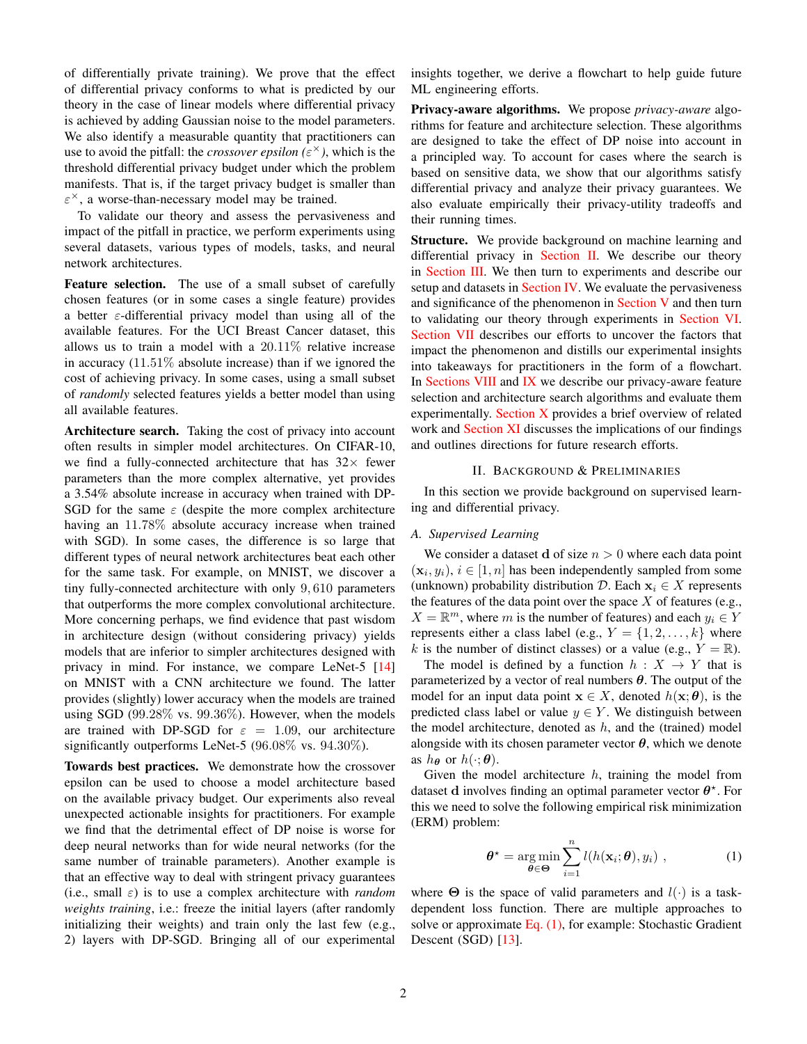of differentially private training). We prove that the effect of differential privacy conforms to what is predicted by our theory in the case of linear models where differential privacy is achieved by adding Gaussian noise to the model parameters. We also identify a measurable quantity that practitioners can use to avoid the pitfall: the *crossover epsilon* ( $\varepsilon^{\times}$ ), which is the threshold differential privacy budget under which the problem manifests. That is, if the target privacy budget is smaller than  $\varepsilon^{\times}$ , a worse-than-necessary model may be trained.

To validate our theory and assess the pervasiveness and impact of the pitfall in practice, we perform experiments using several datasets, various types of models, tasks, and neural network architectures.

Feature selection. The use of a small subset of carefully chosen features (or in some cases a single feature) provides a better  $\varepsilon$ -differential privacy model than using all of the available features. For the UCI Breast Cancer dataset, this allows us to train a model with a  $20.11\%$  relative increase in accuracy (11.51% absolute increase) than if we ignored the cost of achieving privacy. In some cases, using a small subset of *randomly* selected features yields a better model than using all available features.

Architecture search. Taking the cost of privacy into account often results in simpler model architectures. On CIFAR-10, we find a fully-connected architecture that has  $32\times$  fewer parameters than the more complex alternative, yet provides a 3.54% absolute increase in accuracy when trained with DP-SGD for the same  $\varepsilon$  (despite the more complex architecture having an 11.78% absolute accuracy increase when trained with SGD). In some cases, the difference is so large that different types of neural network architectures beat each other for the same task. For example, on MNIST, we discover a tiny fully-connected architecture with only 9, 610 parameters that outperforms the more complex convolutional architecture. More concerning perhaps, we find evidence that past wisdom in architecture design (without considering privacy) yields models that are inferior to simpler architectures designed with privacy in mind. For instance, we compare LeNet-5 [\[14\]](#page-18-11) on MNIST with a CNN architecture we found. The latter provides (slightly) lower accuracy when the models are trained using SGD (99.28% vs. 99.36%). However, when the models are trained with DP-SGD for  $\varepsilon = 1.09$ , our architecture significantly outperforms LeNet-5 (96.08% vs. 94.30%).

Towards best practices. We demonstrate how the crossover epsilon can be used to choose a model architecture based on the available privacy budget. Our experiments also reveal unexpected actionable insights for practitioners. For example we find that the detrimental effect of DP noise is worse for deep neural networks than for wide neural networks (for the same number of trainable parameters). Another example is that an effective way to deal with stringent privacy guarantees (i.e., small  $\varepsilon$ ) is to use a complex architecture with *random weights training*, i.e.: freeze the initial layers (after randomly initializing their weights) and train only the last few (e.g., 2) layers with DP-SGD. Bringing all of our experimental insights together, we derive a flowchart to help guide future ML engineering efforts.

Privacy-aware algorithms. We propose *privacy-aware* algorithms for feature and architecture selection. These algorithms are designed to take the effect of DP noise into account in a principled way. To account for cases where the search is based on sensitive data, we show that our algorithms satisfy differential privacy and analyze their privacy guarantees. We also evaluate empirically their privacy-utility tradeoffs and their running times.

Structure. We provide background on machine learning and differential privacy in [Section II.](#page-1-0) We describe our theory in [Section III.](#page-2-0) We then turn to experiments and describe our setup and datasets in [Section IV.](#page-5-0) We evaluate the pervasiveness and significance of the phenomenon in [Section V](#page-6-0) and then turn to validating our theory through experiments in [Section VI.](#page-8-0) [Section VII](#page-10-0) describes our efforts to uncover the factors that impact the phenomenon and distills our experimental insights into takeaways for practitioners in the form of a flowchart. In [Sections VIII](#page-12-0) and [IX](#page-16-0) we describe our privacy-aware feature selection and architecture search algorithms and evaluate them experimentally. Section  $X$  provides a brief overview of related work and [Section XI](#page-18-12) discusses the implications of our findings and outlines directions for future research efforts.

# II. BACKGROUND & PRELIMINARIES

<span id="page-1-0"></span>In this section we provide background on supervised learning and differential privacy.

## *A. Supervised Learning*

We consider a dataset d of size  $n > 0$  where each data point  $(\mathbf{x}_i, y_i), i \in [1, n]$  has been independently sampled from some (unknown) probability distribution  $D$ . Each  $x_i \in X$  represents the features of the data point over the space  $X$  of features (e.g.,  $X = \mathbb{R}^m$ , where m is the number of features) and each  $y_i \in Y$ represents either a class label (e.g.,  $Y = \{1, 2, \ldots, k\}$  where k is the number of distinct classes) or a value (e.g.,  $Y = \mathbb{R}$ ).

The model is defined by a function  $h : X \rightarrow Y$  that is parameterized by a vector of real numbers  $\theta$ . The output of the model for an input data point  $x \in X$ , denoted  $h(x; \theta)$ , is the predicted class label or value  $y \in Y$ . We distinguish between the model architecture, denoted as  $h$ , and the (trained) model alongside with its chosen parameter vector  $\theta$ , which we denote as  $h_{\theta}$  or  $h(\cdot; \theta)$ .

Given the model architecture  $h$ , training the model from dataset d involves finding an optimal parameter vector  $\theta^*$ . For this we need to solve the following empirical risk minimization (ERM) problem:

<span id="page-1-1"></span>
$$
\boldsymbol{\theta}^{\star} = \underset{\boldsymbol{\theta} \in \Theta}{\arg \min} \sum_{i=1}^{n} l(h(\mathbf{x}_i; \boldsymbol{\theta}), y_i) , \qquad (1)
$$

where  $\Theta$  is the space of valid parameters and  $l(\cdot)$  is a taskdependent loss function. There are multiple approaches to solve or approximate  $Eq. (1)$ , for example: Stochastic Gradient Descent (SGD) [\[13\]](#page-18-10).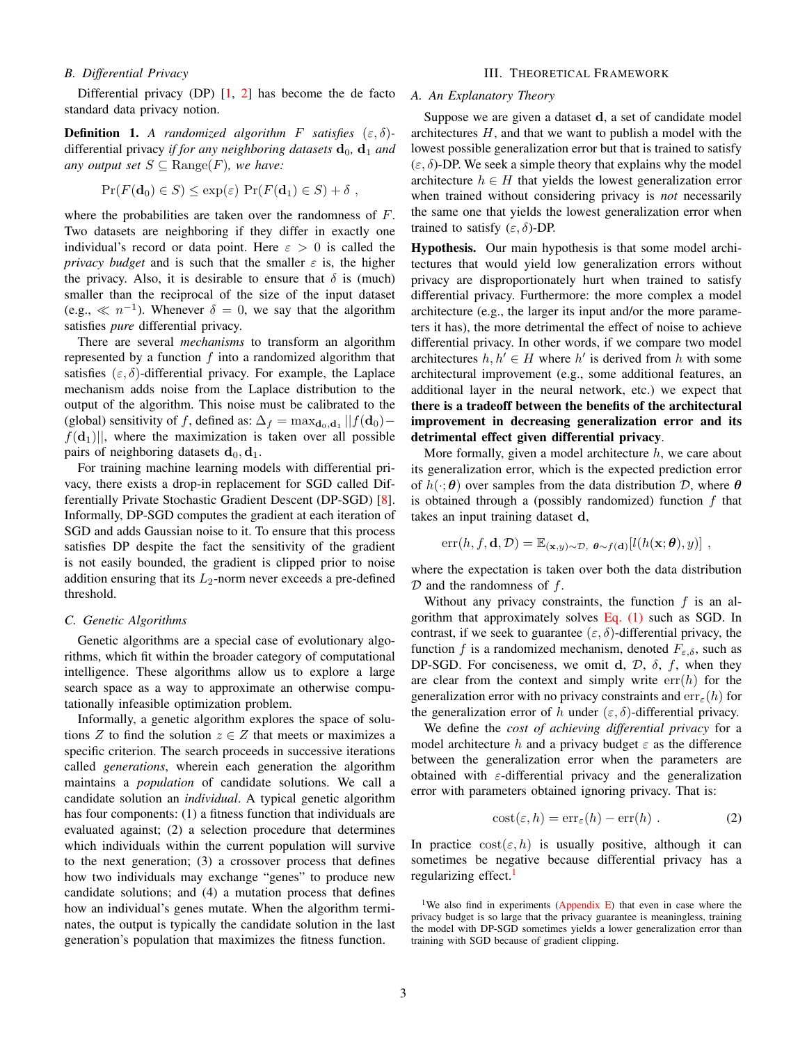# *B. Differential Privacy*

Differential privacy (DP)  $[1, 2]$  $[1, 2]$  $[1, 2]$  has become the de facto standard data privacy notion.

**Definition 1.** A randomized algorithm F satisfies  $(\varepsilon, \delta)$ differential privacy *if for any neighboring datasets*  $\mathbf{d}_0$ ,  $\mathbf{d}_1$  *and any output set*  $S \subseteq \text{Range}(F)$ *, we have:* 

$$
\Pr(F(\mathbf{d}_0) \in S) \le \exp(\varepsilon) \Pr(F(\mathbf{d}_1) \in S) + \delta ,
$$

where the probabilities are taken over the randomness of F. Two datasets are neighboring if they differ in exactly one individual's record or data point. Here  $\varepsilon > 0$  is called the *privacy budget* and is such that the smaller  $\varepsilon$  is, the higher the privacy. Also, it is desirable to ensure that  $\delta$  is (much) smaller than the reciprocal of the size of the input dataset (e.g.,  $\ll n^{-1}$ ). Whenever  $\delta = 0$ , we say that the algorithm satisfies *pure* differential privacy.

There are several *mechanisms* to transform an algorithm represented by a function  $f$  into a randomized algorithm that satisfies  $(\varepsilon, \delta)$ -differential privacy. For example, the Laplace mechanism adds noise from the Laplace distribution to the output of the algorithm. This noise must be calibrated to the (global) sensitivity of f, defined as:  $\Delta_f = \max_{\mathbf{d}_0, \mathbf{d}_1} ||f(\mathbf{d}_0)$  $f(\mathbf{d}_1)||$ , where the maximization is taken over all possible pairs of neighboring datasets  $\mathbf{d}_0, \mathbf{d}_1$ .

For training machine learning models with differential privacy, there exists a drop-in replacement for SGD called Differentially Private Stochastic Gradient Descent (DP-SGD) [\[8\]](#page-18-7). Informally, DP-SGD computes the gradient at each iteration of SGD and adds Gaussian noise to it. To ensure that this process satisfies DP despite the fact the sensitivity of the gradient is not easily bounded, the gradient is clipped prior to noise addition ensuring that its  $L_2$ -norm never exceeds a pre-defined threshold.

#### *C. Genetic Algorithms*

Genetic algorithms are a special case of evolutionary algorithms, which fit within the broader category of computational intelligence. These algorithms allow us to explore a large search space as a way to approximate an otherwise computationally infeasible optimization problem.

Informally, a genetic algorithm explores the space of solutions Z to find the solution  $z \in Z$  that meets or maximizes a specific criterion. The search proceeds in successive iterations called *generations*, wherein each generation the algorithm maintains a *population* of candidate solutions. We call a candidate solution an *individual*. A typical genetic algorithm has four components: (1) a fitness function that individuals are evaluated against; (2) a selection procedure that determines which individuals within the current population will survive to the next generation; (3) a crossover process that defines how two individuals may exchange "genes" to produce new candidate solutions; and (4) a mutation process that defines how an individual's genes mutate. When the algorithm terminates, the output is typically the candidate solution in the last generation's population that maximizes the fitness function.

# III. THEORETICAL FRAMEWORK

#### <span id="page-2-0"></span>*A. An Explanatory Theory*

Suppose we are given a dataset d, a set of candidate model architectures  $H$ , and that we want to publish a model with the lowest possible generalization error but that is trained to satisfy  $(\varepsilon, \delta)$ -DP. We seek a simple theory that explains why the model architecture  $h \in H$  that yields the lowest generalization error when trained without considering privacy is *not* necessarily the same one that yields the lowest generalization error when trained to satisfy  $(\varepsilon, \delta)$ -DP.

Hypothesis. Our main hypothesis is that some model architectures that would yield low generalization errors without privacy are disproportionately hurt when trained to satisfy differential privacy. Furthermore: the more complex a model architecture (e.g., the larger its input and/or the more parameters it has), the more detrimental the effect of noise to achieve differential privacy. In other words, if we compare two model architectures  $h, h' \in H$  where h' is derived from h with some architectural improvement (e.g., some additional features, an additional layer in the neural network, etc.) we expect that there is a tradeoff between the benefits of the architectural improvement in decreasing generalization error and its detrimental effect given differential privacy.

More formally, given a model architecture  $h$ , we care about its generalization error, which is the expected prediction error of  $h(\cdot; \theta)$  over samples from the data distribution D, where  $\theta$ is obtained through a (possibly randomized) function  $f$  that takes an input training dataset d,

$$
err(h, f, \mathbf{d}, \mathcal{D}) = \mathbb{E}_{(\mathbf{x}, y) \sim \mathcal{D}, \boldsymbol{\theta} \sim f(\mathbf{d})} [l(h(\mathbf{x}; \boldsymbol{\theta}), y)],
$$

where the expectation is taken over both the data distribution  $D$  and the randomness of  $f$ .

Without any privacy constraints, the function  $f$  is an algorithm that approximately solves  $Eq. (1)$  such as SGD. In contrast, if we seek to guarantee  $(\varepsilon, \delta)$ -differential privacy, the function f is a randomized mechanism, denoted  $F_{\varepsilon,\delta}$ , such as DP-SGD. For conciseness, we omit d,  $D$ ,  $\delta$ ,  $f$ , when they are clear from the context and simply write  $err(h)$  for the generalization error with no privacy constraints and  $err_{\epsilon}(h)$  for the generalization error of h under  $(\varepsilon, \delta)$ -differential privacy.

We define the *cost of achieving differential privacy* for a model architecture h and a privacy budget  $\varepsilon$  as the difference between the generalization error when the parameters are obtained with  $\varepsilon$ -differential privacy and the generalization error with parameters obtained ignoring privacy. That is:

<span id="page-2-2"></span>
$$
cost(\varepsilon, h) = err_{\varepsilon}(h) - err(h) . \qquad (2)
$$

In practice  $\text{cost}(\varepsilon, h)$  is usually positive, although it can sometimes be negative because differential privacy has a regularizing effect.<sup>[1](#page-2-1)</sup>

<span id="page-2-1"></span><sup>&</sup>lt;sup>1</sup>We also find in experiments [\(Appendix E\)](#page-22-0) that even in case where the privacy budget is so large that the privacy guarantee is meaningless, training the model with DP-SGD sometimes yields a lower generalization error than training with SGD because of gradient clipping.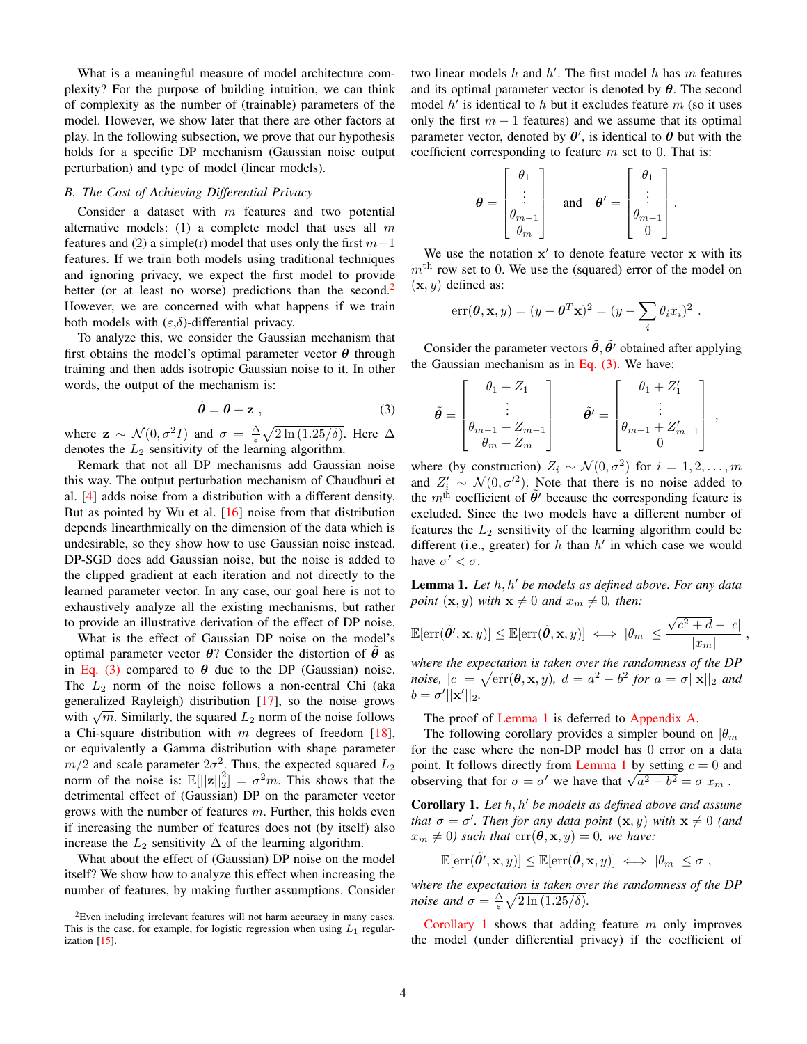What is a meaningful measure of model architecture complexity? For the purpose of building intuition, we can think of complexity as the number of (trainable) parameters of the model. However, we show later that there are other factors at play. In the following subsection, we prove that our hypothesis holds for a specific DP mechanism (Gaussian noise output perturbation) and type of model (linear models).

# <span id="page-3-4"></span>*B. The Cost of Achieving Differential Privacy*

Consider a dataset with  $m$  features and two potential alternative models: (1) a complete model that uses all  $m$ features and (2) a simple(r) model that uses only the first  $m-1$ features. If we train both models using traditional techniques and ignoring privacy, we expect the first model to provide better (or at least no worse) predictions than the second.<sup>[2](#page-3-0)</sup> However, we are concerned with what happens if we train both models with  $(\varepsilon, \delta)$ -differential privacy.

To analyze this, we consider the Gaussian mechanism that first obtains the model's optimal parameter vector  $\theta$  through training and then adds isotropic Gaussian noise to it. In other words, the output of the mechanism is:

<span id="page-3-1"></span>
$$
\tilde{\theta} = \theta + z \tag{3}
$$

where  $\mathbf{z} \sim \mathcal{N}(0, \sigma^2 I)$  and  $\sigma = \frac{\Delta}{\varepsilon} \sqrt{2 \ln(1.25/\delta)}$ . Here  $\Delta$ denotes the  $L_2$  sensitivity of the learning algorithm.

Remark that not all DP mechanisms add Gaussian noise this way. The output perturbation mechanism of Chaudhuri et al. [\[4\]](#page-18-3) adds noise from a distribution with a different density. But as pointed by Wu et al. [\[16\]](#page-18-13) noise from that distribution depends linearthmically on the dimension of the data which is undesirable, so they show how to use Gaussian noise instead. DP-SGD does add Gaussian noise, but the noise is added to the clipped gradient at each iteration and not directly to the learned parameter vector. In any case, our goal here is not to exhaustively analyze all the existing mechanisms, but rather to provide an illustrative derivation of the effect of DP noise.

What is the effect of Gaussian DP noise on the model's optimal parameter vector  $\theta$ ? Consider the distortion of  $\theta$  as in [Eq. \(3\)](#page-3-1) compared to  $\theta$  due to the DP (Gaussian) noise. The  $L_2$  norm of the noise follows a non-central Chi (aka generalized Rayleigh) distribution [\[17\]](#page-18-14), so the noise grows generalized Kaylergii) distribution [17], so the hoise grows<br>with  $\sqrt{m}$ . Similarly, the squared  $L_2$  norm of the noise follows a Chi-square distribution with m degrees of freedom  $[18]$ , or equivalently a Gamma distribution with shape parameter  $m/2$  and scale parameter  $2\sigma^2$ . Thus, the expected squared  $L_2$ norm of the noise is:  $\mathbb{E}[||\mathbf{z}||_2^2] = \sigma^2 m$ . This shows that the detrimental effect of (Gaussian) DP on the parameter vector grows with the number of features  $m$ . Further, this holds even if increasing the number of features does not (by itself) also increase the  $L_2$  sensitivity  $\Delta$  of the learning algorithm.

What about the effect of (Gaussian) DP noise on the model itself? We show how to analyze this effect when increasing the number of features, by making further assumptions. Consider

two linear models  $h$  and  $h'$ . The first model  $h$  has  $m$  features and its optimal parameter vector is denoted by  $\theta$ . The second model  $h'$  is identical to h but it excludes feature m (so it uses only the first  $m - 1$  features) and we assume that its optimal parameter vector, denoted by  $\theta'$ , is identical to  $\theta$  but with the coefficient corresponding to feature  $m$  set to 0. That is:

$$
\boldsymbol{\theta} = \begin{bmatrix} \theta_1 \\ \vdots \\ \theta_{m-1} \\ \theta_m \end{bmatrix} \quad \text{and} \quad \boldsymbol{\theta}' = \begin{bmatrix} \theta_1 \\ \vdots \\ \theta_{m-1} \\ 0 \end{bmatrix}.
$$

We use the notation  $x'$  to denote feature vector  $x$  with its  $m<sup>th</sup>$  row set to 0. We use the (squared) error of the model on  $(x, y)$  defined as:

$$
err(\boldsymbol{\theta}, \mathbf{x}, y) = (y - \boldsymbol{\theta}^T \mathbf{x})^2 = (y - \sum_i \theta_i x_i)^2.
$$

Consider the parameter vectors  $\tilde{\theta}$ ,  $\tilde{\theta}'$  obtained after applying the Gaussian mechanism as in Eq.  $(3)$ . We have:

$$
\tilde{\theta} = \begin{bmatrix} \theta_1 + Z_1 \\ \vdots \\ \theta_{m-1} + Z_{m-1} \\ \theta_m + Z_m \end{bmatrix} \qquad \tilde{\theta'} = \begin{bmatrix} \theta_1 + Z'_1 \\ \vdots \\ \theta_{m-1} + Z'_{m-1} \\ 0 \end{bmatrix},
$$

where (by construction)  $Z_i \sim \mathcal{N}(0, \sigma^2)$  for  $i = 1, 2, ..., m$ and  $Z'_i \sim \mathcal{N}(0, \sigma'^2)$ . Note that there is no noise added to the  $m<sup>th</sup>$  coefficient of  $\tilde{\theta}$ <sup>'</sup> because the corresponding feature is excluded. Since the two models have a different number of features the  $L_2$  sensitivity of the learning algorithm could be different (i.e., greater) for  $h$  than  $h'$  in which case we would have  $\sigma' < \sigma$ .

<span id="page-3-2"></span>**Lemma 1.** Let h, h' be models as defined above. For any data *point*  $(\mathbf{x}, y)$  *with*  $\mathbf{x} \neq 0$  *and*  $x_m \neq 0$ *, then:* 

$$
\mathbb{E}[\text{err}(\tilde{\boldsymbol{\theta}}', \mathbf{x}, y)] \le \mathbb{E}[\text{err}(\tilde{\boldsymbol{\theta}}, \mathbf{x}, y)] \iff |\theta_m| \le \frac{\sqrt{c^2 + d} - |c|}{|x_m|}
$$

,

*where the expectation is taken over the randomness of the DP noise,*  $|c| = \sqrt{\text{err}(\boldsymbol{\theta}, \mathbf{x}, y)}$ ,  $d = a^2 - b^2$  for  $a = \sigma ||\mathbf{x}||_2$  and  $b = \sigma' ||\mathbf{x}'||_2.$ 

## The proof of [Lemma 1](#page-3-2) is deferred to [Appendix A.](#page-20-0)

The following corollary provides a simpler bound on  $|\theta_m|$ for the case where the non-DP model has 0 error on a data point. It follows directly from [Lemma 1](#page-3-2) by setting  $c = 0$  and point. It follows directly from Lemma 1 by setting  $c = 0$  and observing that for  $\sigma = \sigma'$  we have that  $\sqrt{a^2 - b^2} = \sigma |x_m|$ .

<span id="page-3-3"></span>**Corollary 1.** Let h, h' be models as defined above and assume *that*  $\sigma = \sigma'$ *. Then for any data point*  $(\mathbf{x}, y)$  *with*  $\mathbf{x} \neq 0$  *(and*  $x_m \neq 0$ *) such that*  $err(\theta, x, y) = 0$ *, we have:* 

$$
\mathbb{E}[\text{err}(\tilde{\boldsymbol{\theta}}', \mathbf{x}, y)] \leq \mathbb{E}[\text{err}(\tilde{\boldsymbol{\theta}}, \mathbf{x}, y)] \iff |\theta_m| \leq \sigma,
$$

*where the expectation is taken over the randomness of the DP noise and*  $\sigma = \frac{\Delta}{\varepsilon} \sqrt{2 \ln(1.25/\delta)}$ .

[Corollary 1](#page-3-3) shows that adding feature  $m$  only improves the model (under differential privacy) if the coefficient of

<span id="page-3-0"></span><sup>&</sup>lt;sup>2</sup>Even including irrelevant features will not harm accuracy in many cases. This is the case, for example, for logistic regression when using  $L_1$  regularization [\[15\]](#page-18-16).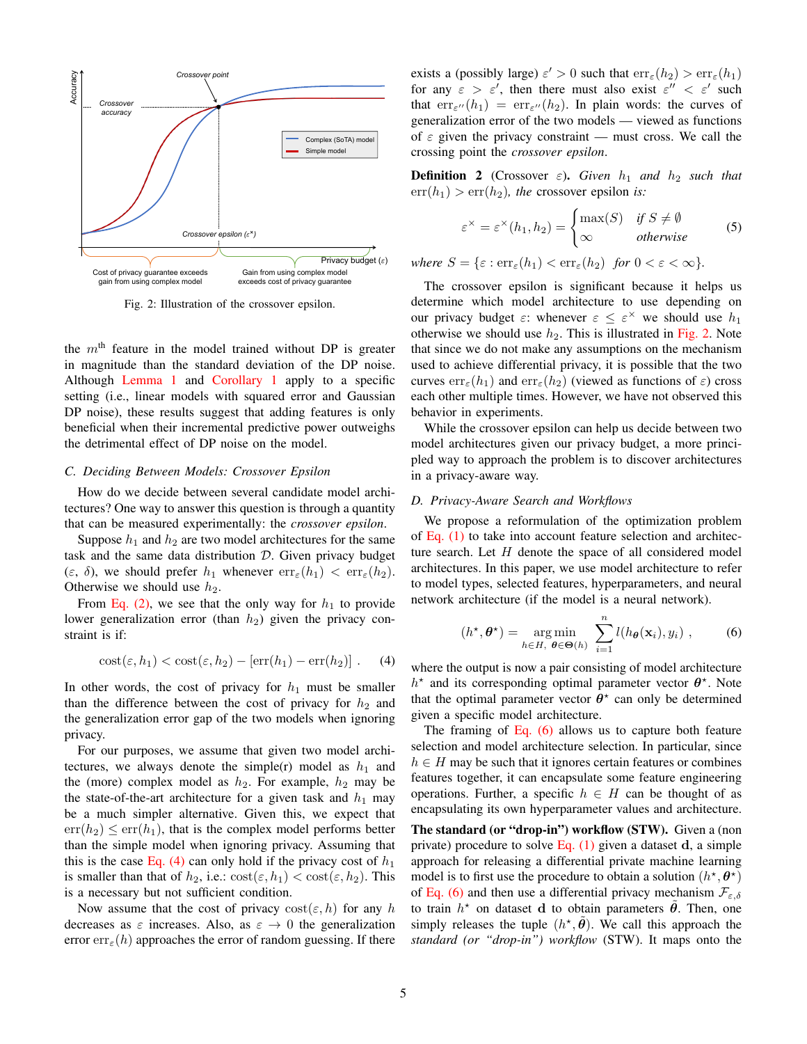<span id="page-4-1"></span>

Fig. 2: Illustration of the crossover epsilon.

the  $m<sup>th</sup>$  feature in the model trained without DP is greater in magnitude than the standard deviation of the DP noise. Although [Lemma 1](#page-3-2) and [Corollary 1](#page-3-3) apply to a specific setting (i.e., linear models with squared error and Gaussian DP noise), these results suggest that adding features is only beneficial when their incremental predictive power outweighs the detrimental effect of DP noise on the model.

#### <span id="page-4-3"></span>*C. Deciding Between Models: Crossover Epsilon*

How do we decide between several candidate model architectures? One way to answer this question is through a quantity that can be measured experimentally: the *crossover epsilon*.

Suppose  $h_1$  and  $h_2$  are two model architectures for the same task and the same data distribution  $D$ . Given privacy budget (ε, δ), we should prefer  $h_1$  whenever  $\text{err}_{\varepsilon}(h_1) < \text{err}_{\varepsilon}(h_2)$ . Otherwise we should use  $h_2$ .

From [Eq. \(2\),](#page-2-2) we see that the only way for  $h_1$  to provide lower generalization error (than  $h_2$ ) given the privacy constraint is if:

$$
cost(\varepsilon, h_1) < cost(\varepsilon, h_2) - [err(h_1) - err(h_2)] . \tag{4}
$$

In other words, the cost of privacy for  $h_1$  must be smaller than the difference between the cost of privacy for  $h_2$  and the generalization error gap of the two models when ignoring privacy.

For our purposes, we assume that given two model architectures, we always denote the simple(r) model as  $h_1$  and the (more) complex model as  $h_2$ . For example,  $h_2$  may be the state-of-the-art architecture for a given task and  $h_1$  may be a much simpler alternative. Given this, we expect that  $err(h_2) \leq err(h_1)$ , that is the complex model performs better than the simple model when ignoring privacy. Assuming that this is the case [Eq. \(4\)](#page-4-0) can only hold if the privacy cost of  $h_1$ is smaller than that of  $h_2$ , i.e.:  $\text{cost}(\varepsilon, h_1) < \text{cost}(\varepsilon, h_2)$ . This is a necessary but not sufficient condition.

Now assume that the cost of privacy  $cost(\varepsilon, h)$  for any h decreases as  $\varepsilon$  increases. Also, as  $\varepsilon \to 0$  the generalization error  $err_{\epsilon}(h)$  approaches the error of random guessing. If there

 $\overline{\mathcal{C}_{\text{complex (SOTA) model}}}$  of  $\varepsilon$  given the privacy constraint — must cross. We call the Simple model **crossing point the** *crossover epsilon*. exists a (possibly large)  $\varepsilon' > 0$  such that  $err_{\varepsilon}(h_2) > err_{\varepsilon}(h_1)$ for any  $\varepsilon > \varepsilon'$ , then there must also exist  $\varepsilon'' < \varepsilon'$  such that  $err_{\epsilon}$ <sup>*i*</sup>( $h_1$ ) =  $err_{\epsilon}$ <sup>*i*</sup>( $h_2$ ). In plain words: the curves of generalization error of the two models — viewed as functions

> **Definition 2** (Crossover  $\varepsilon$ ). Given  $h_1$  and  $h_2$  such that  $err(h_1)$  >  $err(h_2)$ *, the* crossover epsilon *is*:

$$
\varepsilon^{\times} = \varepsilon^{\times}(h_1, h_2) = \begin{cases} \max(S) & \text{if } S \neq \emptyset \\ \infty & \text{otherwise} \end{cases}
$$
 (5)

Privacy budget  $(\varepsilon)$  where  $S = \{\varepsilon : \operatorname{err}_\varepsilon(h_1) < \operatorname{err}_\varepsilon(h_2) \ \textit{ for } 0 < \varepsilon < \infty\}.$ 

exceeds cost of privacy guarantee<br>
The crossover epsilon is significant because it helps us determine which model architecture to use depending on our privacy budget  $\varepsilon$ : whenever  $\varepsilon \leq \varepsilon^{\times}$  we should use  $h_1$ otherwise we should use  $h_2$ . This is illustrated in [Fig. 2.](#page-4-1) Note that since we do not make any assumptions on the mechanism used to achieve differential privacy, it is possible that the two curves  $err_{\epsilon}(h_1)$  and  $err_{\epsilon}(h_2)$  (viewed as functions of  $\epsilon$ ) cross each other multiple times. However, we have not observed this behavior in experiments.

> While the crossover epsilon can help us decide between two model architectures given our privacy budget, a more principled way to approach the problem is to discover architectures in a privacy-aware way.

# <span id="page-4-4"></span>*D. Privacy-Aware Search and Workflows*

We propose a reformulation of the optimization problem of Eq.  $(1)$  to take into account feature selection and architecture search. Let H denote the space of all considered model architectures. In this paper, we use model architecture to refer to model types, selected features, hyperparameters, and neural network architecture (if the model is a neural network).

<span id="page-4-2"></span>
$$
(h^{\star}, \boldsymbol{\theta}^{\star}) = \underset{h \in H, \ \boldsymbol{\theta} \in \Theta(h)}{\arg \min} \ \sum_{i=1}^{n} l(h_{\boldsymbol{\theta}}(\mathbf{x}_i), y_i) \ , \tag{6}
$$

<span id="page-4-0"></span>where the output is now a pair consisting of model architecture  $h^*$  and its corresponding optimal parameter vector  $\theta^*$ . Note that the optimal parameter vector  $\theta^*$  can only be determined given a specific model architecture.

The framing of Eq.  $(6)$  allows us to capture both feature selection and model architecture selection. In particular, since  $h \in H$  may be such that it ignores certain features or combines features together, it can encapsulate some feature engineering operations. Further, a specific  $h \in H$  can be thought of as encapsulating its own hyperparameter values and architecture. The standard (or "drop-in") workflow (STW). Given a (non private) procedure to solve Eq.  $(1)$  given a dataset d, a simple approach for releasing a differential private machine learning model is to first use the procedure to obtain a solution  $(h^*, \theta^*)$ of [Eq. \(6\)](#page-4-2) and then use a differential privacy mechanism  $\mathcal{F}_{\varepsilon,\delta}$ to train  $h^*$  on dataset d to obtain parameters  $\tilde{\theta}$ . Then, one simply releases the tuple  $(h^*, \tilde{\theta})$ . We call this approach the *standard (or "drop-in") workflow* (STW). It maps onto the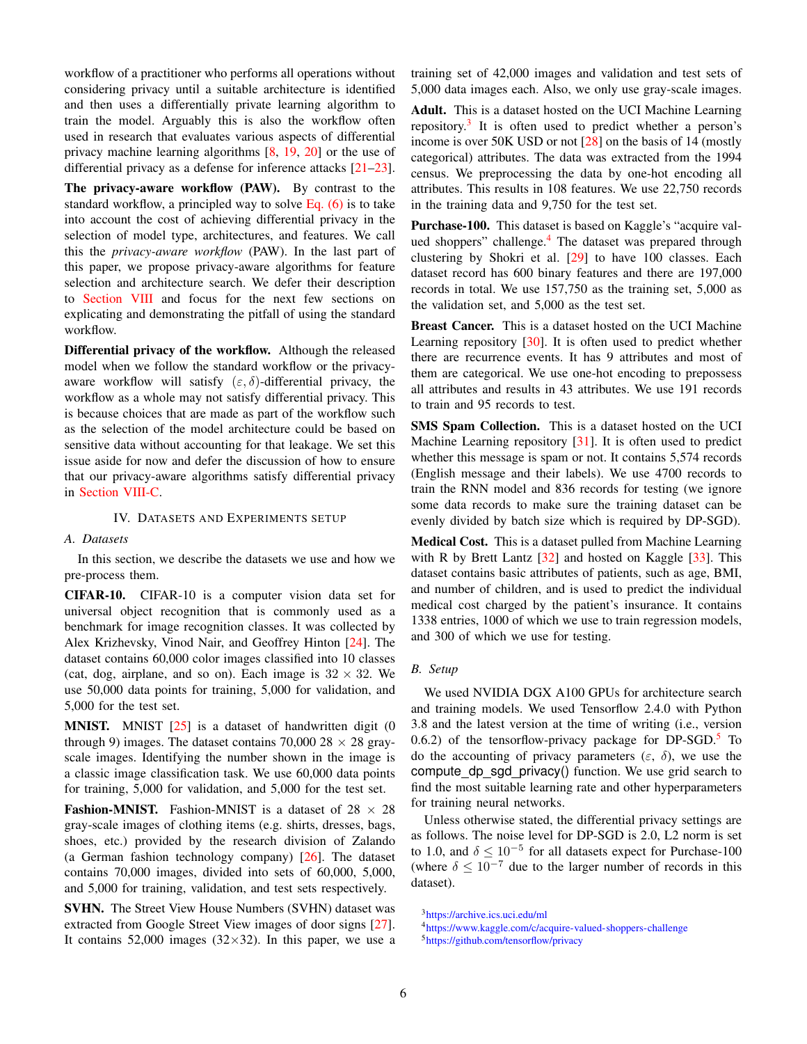workflow of a practitioner who performs all operations without considering privacy until a suitable architecture is identified and then uses a differentially private learning algorithm to train the model. Arguably this is also the workflow often used in research that evaluates various aspects of differential privacy machine learning algorithms  $[8, 19, 20]$  $[8, 19, 20]$  $[8, 19, 20]$  $[8, 19, 20]$  $[8, 19, 20]$  or the use of differential privacy as a defense for inference attacks [\[21](#page-18-19)[–23\]](#page-19-0).

The privacy-aware workflow (PAW). By contrast to the standard workflow, a principled way to solve  $Eq. (6)$  is to take into account the cost of achieving differential privacy in the selection of model type, architectures, and features. We call this the *privacy-aware workflow* (PAW). In the last part of this paper, we propose privacy-aware algorithms for feature selection and architecture search. We defer their description to [Section VIII](#page-12-0) and focus for the next few sections on explicating and demonstrating the pitfall of using the standard workflow.

Differential privacy of the workflow. Although the released model when we follow the standard workflow or the privacyaware workflow will satisfy  $(\varepsilon, \delta)$ -differential privacy, the workflow as a whole may not satisfy differential privacy. This is because choices that are made as part of the workflow such as the selection of the model architecture could be based on sensitive data without accounting for that leakage. We set this issue aside for now and defer the discussion of how to ensure that our privacy-aware algorithms satisfy differential privacy in [Section VIII-C.](#page-15-0)

# IV. DATASETS AND EXPERIMENTS SETUP

#### <span id="page-5-0"></span>*A. Datasets*

In this section, we describe the datasets we use and how we pre-process them.

CIFAR-10. CIFAR-10 is a computer vision data set for universal object recognition that is commonly used as a benchmark for image recognition classes. It was collected by Alex Krizhevsky, Vinod Nair, and Geoffrey Hinton [\[24\]](#page-19-1). The dataset contains 60,000 color images classified into 10 classes (cat, dog, airplane, and so on). Each image is  $32 \times 32$ . We use 50,000 data points for training, 5,000 for validation, and 5,000 for the test set.

**MNIST.** MNIST  $[25]$  is a dataset of handwritten digit  $(0)$ through 9) images. The dataset contains 70,000 28  $\times$  28 grayscale images. Identifying the number shown in the image is a classic image classification task. We use 60,000 data points for training, 5,000 for validation, and 5,000 for the test set.

**Fashion-MNIST.** Fashion-MNIST is a dataset of  $28 \times 28$ gray-scale images of clothing items (e.g. shirts, dresses, bags, shoes, etc.) provided by the research division of Zalando (a German fashion technology company) [\[26\]](#page-19-3). The dataset contains 70,000 images, divided into sets of 60,000, 5,000, and 5,000 for training, validation, and test sets respectively.

SVHN. The Street View House Numbers (SVHN) dataset was extracted from Google Street View images of door signs [\[27\]](#page-19-4). It contains 52,000 images  $(32\times32)$ . In this paper, we use a training set of 42,000 images and validation and test sets of 5,000 data images each. Also, we only use gray-scale images.

Adult. This is a dataset hosted on the UCI Machine Learning repository.<sup>[3](#page-5-1)</sup> It is often used to predict whether a person's income is over 50K USD or not [\[28\]](#page-19-5) on the basis of 14 (mostly categorical) attributes. The data was extracted from the 1994 census. We preprocessing the data by one-hot encoding all attributes. This results in 108 features. We use 22,750 records in the training data and 9,750 for the test set.

Purchase-100. This dataset is based on Kaggle's "acquire val-ued shoppers" challenge.<sup>[4](#page-5-2)</sup> The dataset was prepared through clustering by Shokri et al. [\[29\]](#page-19-6) to have 100 classes. Each dataset record has 600 binary features and there are 197,000 records in total. We use 157,750 as the training set, 5,000 as the validation set, and 5,000 as the test set.

Breast Cancer. This is a dataset hosted on the UCI Machine Learning repository [\[30\]](#page-19-7). It is often used to predict whether there are recurrence events. It has 9 attributes and most of them are categorical. We use one-hot encoding to prepossess all attributes and results in 43 attributes. We use 191 records to train and 95 records to test.

SMS Spam Collection. This is a dataset hosted on the UCI Machine Learning repository [\[31\]](#page-19-8). It is often used to predict whether this message is spam or not. It contains 5,574 records (English message and their labels). We use 4700 records to train the RNN model and 836 records for testing (we ignore some data records to make sure the training dataset can be evenly divided by batch size which is required by DP-SGD).

Medical Cost. This is a dataset pulled from Machine Learning with R by Brett Lantz  $\left[32\right]$  and hosted on Kaggle  $\left[33\right]$ . This dataset contains basic attributes of patients, such as age, BMI, and number of children, and is used to predict the individual medical cost charged by the patient's insurance. It contains 1338 entries, 1000 of which we use to train regression models, and 300 of which we use for testing.

## *B. Setup*

We used NVIDIA DGX A100 GPUs for architecture search and training models. We used Tensorflow 2.4.0 with Python 3.8 and the latest version at the time of writing (i.e., version 0.6.2) of the tensorflow-privacy package for  $DP-SGD$ .<sup>[5](#page-5-3)</sup> To do the accounting of privacy parameters  $(\varepsilon, \delta)$ , we use the compute dp sgd privacy() function. We use grid search to find the most suitable learning rate and other hyperparameters for training neural networks.

Unless otherwise stated, the differential privacy settings are as follows. The noise level for DP-SGD is 2.0, L2 norm is set to 1.0, and  $\delta \leq 10^{-5}$  for all datasets expect for Purchase-100 (where  $\delta \leq 10^{-7}$  due to the larger number of records in this dataset).

<span id="page-5-1"></span><sup>3</sup><https://archive.ics.uci.edu/ml>

<span id="page-5-3"></span><span id="page-5-2"></span><sup>4</sup><https://www.kaggle.com/c/acquire-valued-shoppers-challenge> <sup>5</sup><https://github.com/tensorflow/privacy>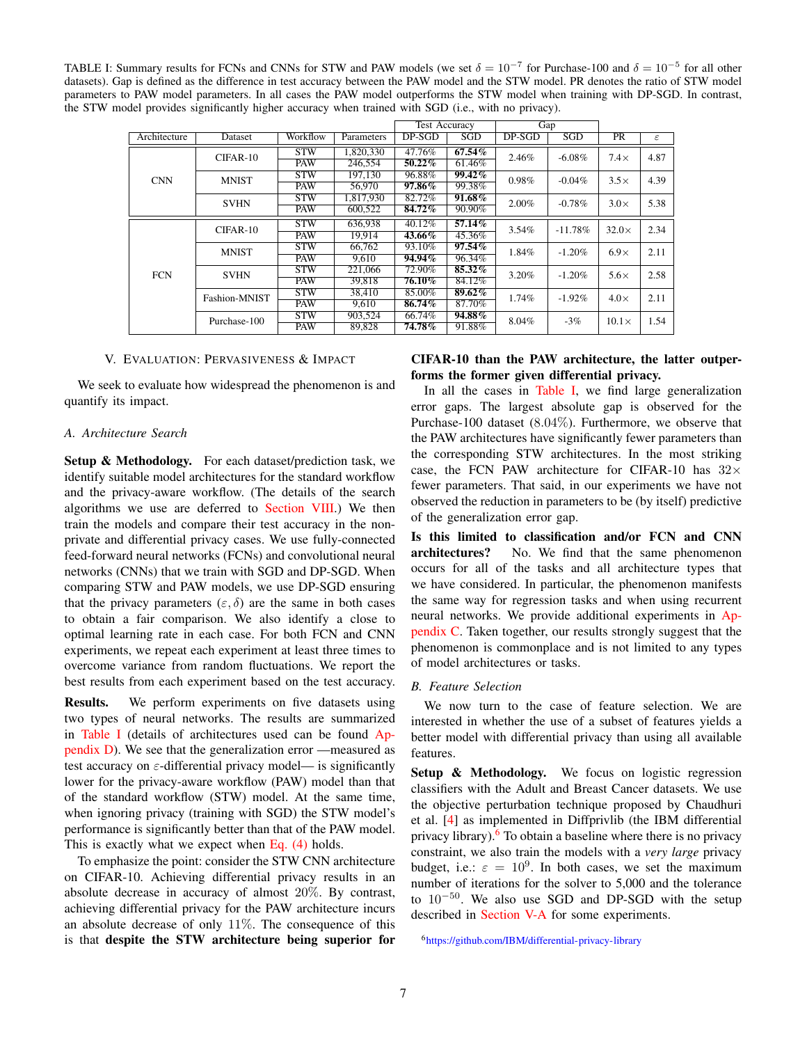<span id="page-6-1"></span>TABLE I: Summary results for FCNs and CNNs for STW and PAW models (we set  $\delta = 10^{-7}$  for Purchase-100 and  $\delta = 10^{-5}$  for all other datasets). Gap is defined as the difference in test accuracy between the PAW model and the STW model. PR denotes the ratio of STW model parameters to PAW model parameters. In all cases the PAW model outperforms the STW model when training with DP-SGD. In contrast, the STW model provides significantly higher accuracy when trained with SGD (i.e., with no privacy).

|              |               |            |            | <b>Test Accuracy</b> |           | Gap      |           |              |               |
|--------------|---------------|------------|------------|----------------------|-----------|----------|-----------|--------------|---------------|
| Architecture | Dataset       | Workflow   | Parameters | $DP-SGD$             | SGD       | $DP-SGD$ | SGD       | <b>PR</b>    | $\varepsilon$ |
|              | CIFAR-10      | <b>STW</b> | 1,820,330  | 47.76%               | 67.54%    | 2.46%    | $-6.08\%$ | $7.4\times$  | 4.87          |
|              |               | <b>PAW</b> | 246,554    | $50.22\%$            | 61.46%    |          |           |              |               |
| <b>CNN</b>   | <b>MNIST</b>  | <b>STW</b> | 197.130    | 96.88%               | $99.42\%$ | 0.98%    | $-0.04\%$ | $3.5\times$  | 4.39          |
|              |               | <b>PAW</b> | 56,970     | 97.86%               | 99.38%    |          |           |              |               |
|              | <b>SVHN</b>   | <b>STW</b> | 1.817.930  | 82.72%               | 91.68%    | $2.00\%$ | $-0.78\%$ | $3.0\times$  | 5.38          |
|              |               | PAW        | 600.522    | 84.72%               | 90.90%    |          |           |              |               |
|              | CIFAR-10      | <b>STW</b> | 636.938    | 40.12%               | 57.14%    | 3.54%    | $-11.78%$ | $32.0\times$ | 2.34          |
|              |               | <b>PAW</b> | 19.914     | $43.66\%$            | 45.36%    |          |           |              |               |
|              | <b>MNIST</b>  | <b>STW</b> | 66,762     | 93.10%               | 97.54%    | 1.84%    | $-1.20\%$ | $6.9\times$  | 2.11          |
|              |               | <b>PAW</b> | 9.610      | 94.94%               | 96.34%    |          |           |              |               |
| <b>FCN</b>   | <b>SVHN</b>   | <b>STW</b> | 221,066    | 72.90%               | 85.32%    | 3.20%    | $-1.20\%$ | $5.6\times$  | 2.58          |
|              |               | <b>PAW</b> | 39.818     | 76.10%               | 84.12%    |          |           |              |               |
|              | Fashion-MNIST | <b>STW</b> | 38,410     | 85.00%               | $89.62\%$ | 1.74%    | $-1.92\%$ | $4.0\times$  | 2.11          |
|              |               | PAW        | 9.610      | 86.74%               | 87.70%    |          |           |              |               |
|              | Purchase-100  | <b>STW</b> | 903,524    | 66.74%               | 94.88%    | 8.04%    | $-3\%$    | $10.1\times$ | 1.54          |
|              |               | PAW        | 89.828     | 74.78%               | 91.88%    |          |           |              |               |

#### V. EVALUATION: PERVASIVENESS & IMPACT

<span id="page-6-0"></span>We seek to evaluate how widespread the phenomenon is and quantify its impact.

#### <span id="page-6-3"></span>*A. Architecture Search*

Setup & Methodology. For each dataset/prediction task, we identify suitable model architectures for the standard workflow and the privacy-aware workflow. (The details of the search algorithms we use are deferred to [Section VIII.](#page-12-0)) We then train the models and compare their test accuracy in the nonprivate and differential privacy cases. We use fully-connected feed-forward neural networks (FCNs) and convolutional neural networks (CNNs) that we train with SGD and DP-SGD. When comparing STW and PAW models, we use DP-SGD ensuring that the privacy parameters  $(\varepsilon, \delta)$  are the same in both cases to obtain a fair comparison. We also identify a close to optimal learning rate in each case. For both FCN and CNN experiments, we repeat each experiment at least three times to overcome variance from random fluctuations. We report the best results from each experiment based on the test accuracy.

Results. We perform experiments on five datasets using two types of neural networks. The results are summarized in [Table I](#page-6-1) (details of architectures used can be found [Ap](#page-22-1)[pendix D\)](#page-22-1). We see that the generalization error —measured as test accuracy on  $\varepsilon$ -differential privacy model— is significantly lower for the privacy-aware workflow (PAW) model than that of the standard workflow (STW) model. At the same time, when ignoring privacy (training with SGD) the STW model's performance is significantly better than that of the PAW model. This is exactly what we expect when  $Eq. (4)$  holds.

To emphasize the point: consider the STW CNN architecture on CIFAR-10. Achieving differential privacy results in an absolute decrease in accuracy of almost 20%. By contrast, achieving differential privacy for the PAW architecture incurs an absolute decrease of only  $11\%$ . The consequence of this is that despite the STW architecture being superior for

# CIFAR-10 than the PAW architecture, the latter outperforms the former given differential privacy.

In all the cases in [Table I,](#page-6-1) we find large generalization error gaps. The largest absolute gap is observed for the Purchase-100 dataset (8.04%). Furthermore, we observe that the PAW architectures have significantly fewer parameters than the corresponding STW architectures. In the most striking case, the FCN PAW architecture for CIFAR-10 has  $32\times$ fewer parameters. That said, in our experiments we have not observed the reduction in parameters to be (by itself) predictive of the generalization error gap.

Is this limited to classification and/or FCN and CNN architectures? No. We find that the same phenomenon occurs for all of the tasks and all architecture types that we have considered. In particular, the phenomenon manifests the same way for regression tasks and when using recurrent neural networks. We provide additional experiments in [Ap](#page-20-1)[pendix C.](#page-20-1) Taken together, our results strongly suggest that the phenomenon is commonplace and is not limited to any types of model architectures or tasks.

#### <span id="page-6-4"></span>*B. Feature Selection*

We now turn to the case of feature selection. We are interested in whether the use of a subset of features yields a better model with differential privacy than using all available features.

Setup & Methodology. We focus on logistic regression classifiers with the Adult and Breast Cancer datasets. We use the objective perturbation technique proposed by Chaudhuri et al. [\[4\]](#page-18-3) as implemented in Diffprivlib (the IBM differential privacy library). $6$  To obtain a baseline where there is no privacy constraint, we also train the models with a *very large* privacy budget, i.e.:  $\varepsilon = 10^9$ . In both cases, we set the maximum number of iterations for the solver to 5,000 and the tolerance to  $10^{-50}$ . We also use SGD and DP-SGD with the setup described in [Section V-A](#page-6-3) for some experiments.

<span id="page-6-2"></span><sup>6</sup><https://github.com/IBM/differential-privacy-library>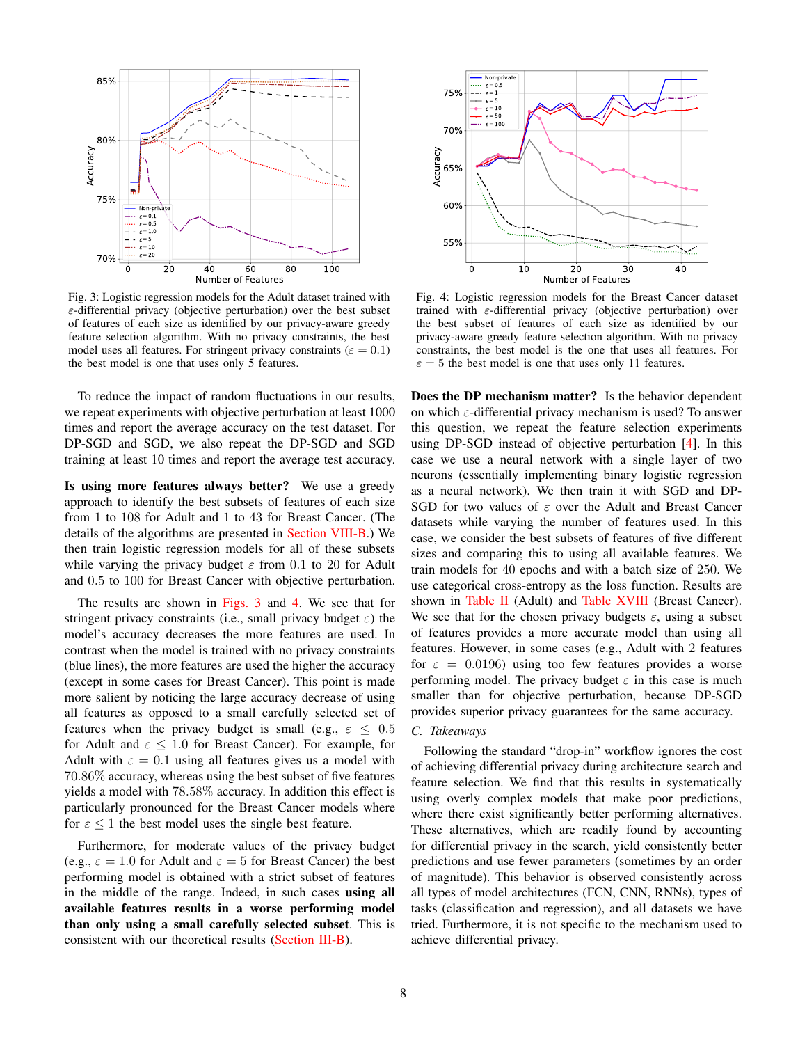<span id="page-7-0"></span>

Fig. 3: Logistic regression models for the Adult dataset trained with ε-differential privacy (objective perturbation) over the best subset of features of each size as identified by our privacy-aware greedy feature selection algorithm. With no privacy constraints, the best model uses all features. For stringent privacy constraints ( $\varepsilon = 0.1$ ) the best model is one that uses only 5 features.

To reduce the impact of random fluctuations in our results, we repeat experiments with objective perturbation at least 1000 times and report the average accuracy on the test dataset. For DP-SGD and SGD, we also repeat the DP-SGD and SGD training at least 10 times and report the average test accuracy.

Is using more features always better? We use a greedy approach to identify the best subsets of features of each size from 1 to 108 for Adult and 1 to 43 for Breast Cancer. (The details of the algorithms are presented in [Section VIII-B.](#page-13-0)) We then train logistic regression models for all of these subsets while varying the privacy budget  $\varepsilon$  from 0.1 to 20 for Adult and 0.5 to 100 for Breast Cancer with objective perturbation.

The results are shown in [Figs. 3](#page-7-0) and [4.](#page-7-0) We see that for stringent privacy constraints (i.e., small privacy budget  $\varepsilon$ ) the model's accuracy decreases the more features are used. In contrast when the model is trained with no privacy constraints (blue lines), the more features are used the higher the accuracy (except in some cases for Breast Cancer). This point is made more salient by noticing the large accuracy decrease of using all features as opposed to a small carefully selected set of features when the privacy budget is small (e.g.,  $\varepsilon \leq 0.5$ ) for Adult and  $\varepsilon \leq 1.0$  for Breast Cancer). For example, for Adult with  $\varepsilon = 0.1$  using all features gives us a model with 70.86% accuracy, whereas using the best subset of five features yields a model with 78.58% accuracy. In addition this effect is particularly pronounced for the Breast Cancer models where for  $\varepsilon \leq 1$  the best model uses the single best feature.

Furthermore, for moderate values of the privacy budget (e.g.,  $\varepsilon = 1.0$  for Adult and  $\varepsilon = 5$  for Breast Cancer) the best performing model is obtained with a strict subset of features in the middle of the range. Indeed, in such cases using all available features results in a worse performing model than only using a small carefully selected subset. This is consistent with our theoretical results [\(Section III-B\)](#page-3-4).



Fig. 4: Logistic regression models for the Breast Cancer dataset trained with ε-differential privacy (objective perturbation) over the best subset of features of each size as identified by our privacy-aware greedy feature selection algorithm. With no privacy constraints, the best model is the one that uses all features. For  $\varepsilon = 5$  the best model is one that uses only 11 features.

Does the DP mechanism matter? Is the behavior dependent on which  $\varepsilon$ -differential privacy mechanism is used? To answer this question, we repeat the feature selection experiments using DP-SGD instead of objective perturbation [\[4\]](#page-18-3). In this case we use a neural network with a single layer of two neurons (essentially implementing binary logistic regression as a neural network). We then train it with SGD and DP-SGD for two values of  $\varepsilon$  over the Adult and Breast Cancer datasets while varying the number of features used. In this case, we consider the best subsets of features of five different sizes and comparing this to using all available features. We train models for 40 epochs and with a batch size of 250. We use categorical cross-entropy as the loss function. Results are shown in [Table II](#page-8-1) (Adult) and [Table XVIII](#page-22-2) (Breast Cancer). We see that for the chosen privacy budgets  $\varepsilon$ , using a subset of features provides a more accurate model than using all features. However, in some cases (e.g., Adult with 2 features for  $\varepsilon = 0.0196$ ) using too few features provides a worse performing model. The privacy budget  $\varepsilon$  in this case is much smaller than for objective perturbation, because DP-SGD provides superior privacy guarantees for the same accuracy.

# *C. Takeaways*

Following the standard "drop-in" workflow ignores the cost of achieving differential privacy during architecture search and feature selection. We find that this results in systematically using overly complex models that make poor predictions, where there exist significantly better performing alternatives. These alternatives, which are readily found by accounting for differential privacy in the search, yield consistently better predictions and use fewer parameters (sometimes by an order of magnitude). This behavior is observed consistently across all types of model architectures (FCN, CNN, RNNs), types of tasks (classification and regression), and all datasets we have tried. Furthermore, it is not specific to the mechanism used to achieve differential privacy.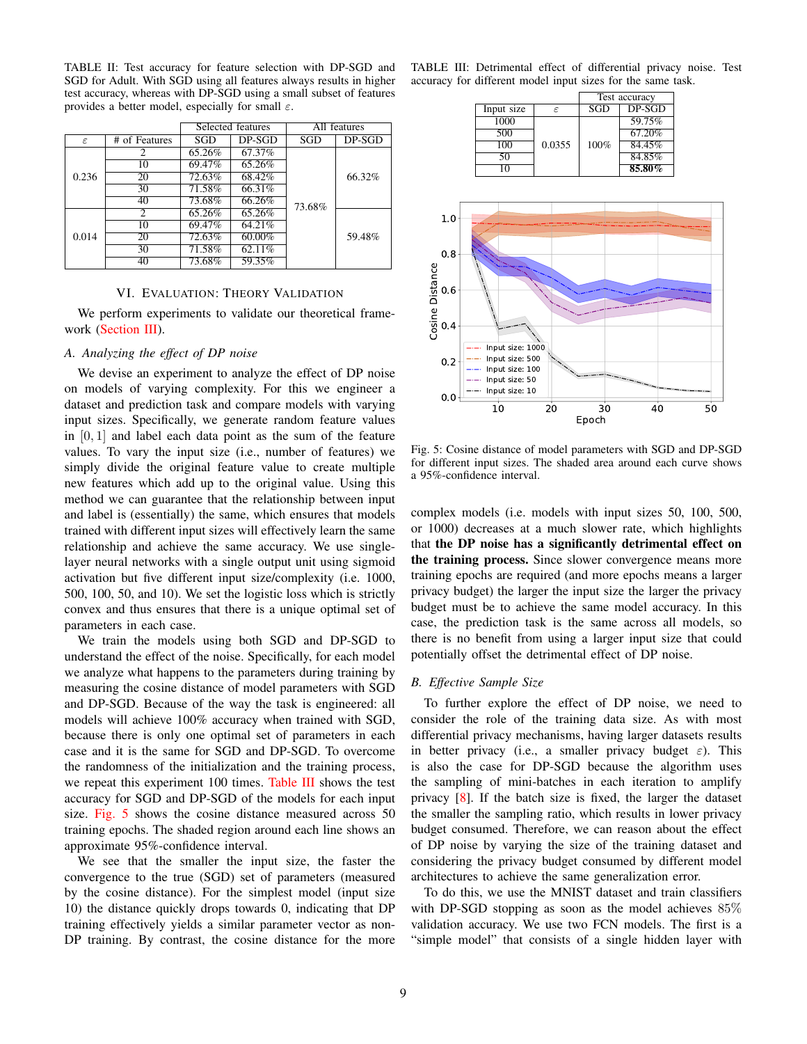<span id="page-8-1"></span>TABLE II: Test accuracy for feature selection with DP-SGD and SGD for Adult. With SGD using all features always results in higher test accuracy, whereas with DP-SGD using a small subset of features provides a better model, especially for small  $\varepsilon$ .

|  |               |                | Selected features |        |        | All features |
|--|---------------|----------------|-------------------|--------|--------|--------------|
|  | $\varepsilon$ | # of Features  | SGD               | DP-SGD | SGD    | $DP-SGD$     |
|  |               | 2              | 65.26%            | 67.37% |        |              |
|  |               | 10             | 69.47%            | 65.26% |        |              |
|  | 0.236         | 20             | 72.63%            | 68.42% |        | 66.32%       |
|  |               | 30             | 71.58%            | 66.31% |        |              |
|  |               | 40             | 73.68%            | 66.26% | 73.68% |              |
|  |               | $\mathfrak{D}$ | 65.26%            | 65.26% |        |              |
|  |               | 10             | 69.47%            | 64.21% |        |              |
|  | 0.014         | 20             | 72.63%            | 60.00% |        | 59.48%       |
|  |               | 30             | 71.58%            | 62.11% |        |              |
|  |               | 40             | 73.68%            | 59.35% |        |              |

# VI. EVALUATION: THEORY VALIDATION

<span id="page-8-0"></span>We perform experiments to validate our theoretical frame-work [\(Section III\)](#page-2-0).

# *A. Analyzing the effect of DP noise*

We devise an experiment to analyze the effect of DP noise on models of varying complexity. For this we engineer a dataset and prediction task and compare models with varying input sizes. Specifically, we generate random feature values in  $[0, 1]$  and label each data point as the sum of the feature values. To vary the input size (i.e., number of features) we simply divide the original feature value to create multiple new features which add up to the original value. Using this method we can guarantee that the relationship between input and label is (essentially) the same, which ensures that models trained with different input sizes will effectively learn the same relationship and achieve the same accuracy. We use singlelayer neural networks with a single output unit using sigmoid activation but five different input size/complexity (i.e. 1000, 500, 100, 50, and 10). We set the logistic loss which is strictly convex and thus ensures that there is a unique optimal set of parameters in each case.

We train the models using both SGD and DP-SGD to understand the effect of the noise. Specifically, for each model we analyze what happens to the parameters during training by measuring the cosine distance of model parameters with SGD and DP-SGD. Because of the way the task is engineered: all models will achieve 100% accuracy when trained with SGD, because there is only one optimal set of parameters in each case and it is the same for SGD and DP-SGD. To overcome the randomness of the initialization and the training process, we repeat this experiment 100 times. [Table III](#page-8-2) shows the test accuracy for SGD and DP-SGD of the models for each input size. [Fig. 5](#page-8-3) shows the cosine distance measured across 50 training epochs. The shaded region around each line shows an approximate 95%-confidence interval.

We see that the smaller the input size, the faster the convergence to the true (SGD) set of parameters (measured by the cosine distance). For the simplest model (input size 10) the distance quickly drops towards 0, indicating that DP training effectively yields a similar parameter vector as non-DP training. By contrast, the cosine distance for the more

<span id="page-8-2"></span>TABLE III: Detrimental effect of differential privacy noise. Test accuracy for different model input sizes for the same task.

|            |        |      | Test accuracy |
|------------|--------|------|---------------|
| Input size | F.     | SGD  | $DP-SGD$      |
| 1000       |        |      | 59.75%        |
| 500        |        |      | 67.20%        |
| 100        | 0.0355 | 100% | 84.45%        |
| 50         |        |      | 84.85%        |
|            |        |      | 85.80%        |

<span id="page-8-3"></span>

Fig. 5: Cosine distance of model parameters with SGD and DP-SGD for different input sizes. The shaded area around each curve shows a 95%-confidence interval.

complex models (i.e. models with input sizes 50, 100, 500, or 1000) decreases at a much slower rate, which highlights that the DP noise has a significantly detrimental effect on the training process. Since slower convergence means more training epochs are required (and more epochs means a larger privacy budget) the larger the input size the larger the privacy budget must be to achieve the same model accuracy. In this case, the prediction task is the same across all models, so there is no benefit from using a larger input size that could potentially offset the detrimental effect of DP noise.

# *B. Effective Sample Size*

To further explore the effect of DP noise, we need to consider the role of the training data size. As with most differential privacy mechanisms, having larger datasets results in better privacy (i.e., a smaller privacy budget  $\varepsilon$ ). This is also the case for DP-SGD because the algorithm uses the sampling of mini-batches in each iteration to amplify privacy [\[8\]](#page-18-7). If the batch size is fixed, the larger the dataset the smaller the sampling ratio, which results in lower privacy budget consumed. Therefore, we can reason about the effect of DP noise by varying the size of the training dataset and considering the privacy budget consumed by different model architectures to achieve the same generalization error.

To do this, we use the MNIST dataset and train classifiers with DP-SGD stopping as soon as the model achieves 85% validation accuracy. We use two FCN models. The first is a "simple model" that consists of a single hidden layer with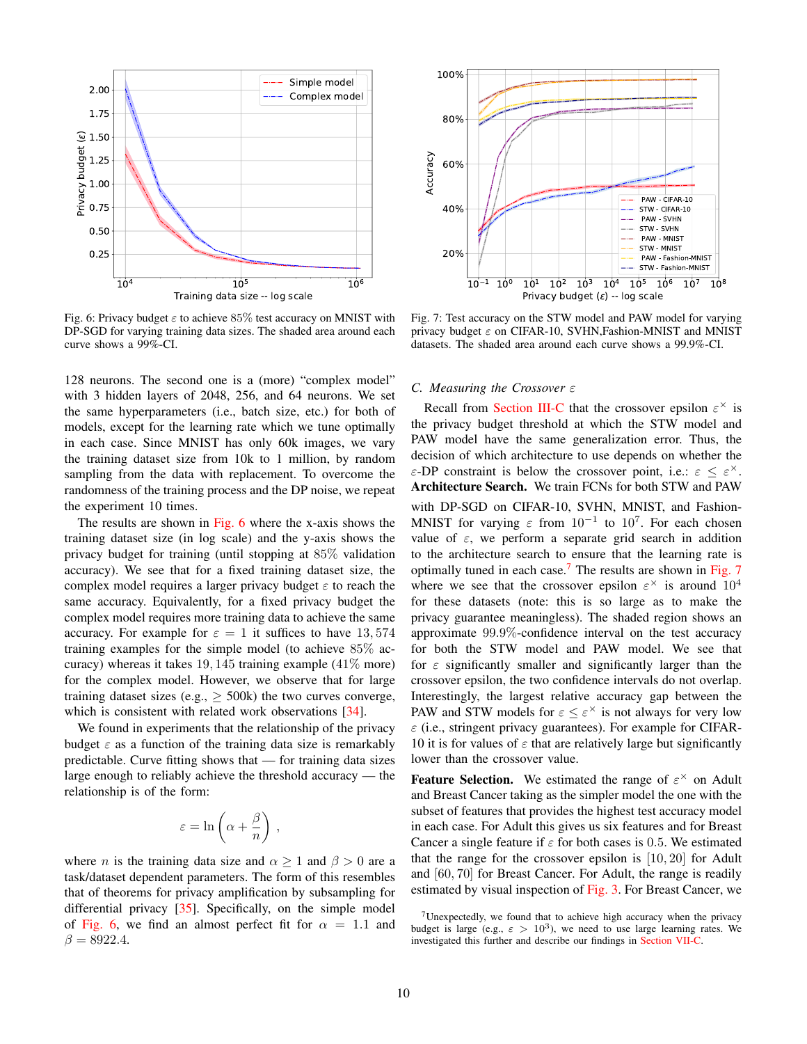<span id="page-9-0"></span>

Fig. 6: Privacy budget  $\varepsilon$  to achieve 85% test accuracy on MNIST with DP-SGD for varying training data sizes. The shaded area around each curve shows a 99%-CI.

128 neurons. The second one is a (more) "complex model" with 3 hidden layers of 2048, 256, and 64 neurons. We set the same hyperparameters (i.e., batch size, etc.) for both of models, except for the learning rate which we tune optimally in each case. Since MNIST has only 60k images, we vary the training dataset size from 10k to 1 million, by random sampling from the data with replacement. To overcome the randomness of the training process and the DP noise, we repeat the experiment 10 times.

The results are shown in [Fig. 6](#page-9-0) where the x-axis shows the training dataset size (in log scale) and the y-axis shows the privacy budget for training (until stopping at 85% validation accuracy). We see that for a fixed training dataset size, the complex model requires a larger privacy budget  $\varepsilon$  to reach the same accuracy. Equivalently, for a fixed privacy budget the complex model requires more training data to achieve the same accuracy. For example for  $\varepsilon = 1$  it suffices to have 13,574 training examples for the simple model (to achieve 85% accuracy) whereas it takes 19, 145 training example  $(41\%$  more) for the complex model. However, we observe that for large training dataset sizes (e.g.,  $\geq$  500k) the two curves converge, which is consistent with related work observations [\[34\]](#page-19-11).

We found in experiments that the relationship of the privacy budget  $\varepsilon$  as a function of the training data size is remarkably predictable. Curve fitting shows that — for training data sizes large enough to reliably achieve the threshold accuracy — the relationship is of the form:

$$
\varepsilon = \ln\left(\alpha + \frac{\beta}{n}\right) ,
$$

where *n* is the training data size and  $\alpha \ge 1$  and  $\beta > 0$  are a task/dataset dependent parameters. The form of this resembles that of theorems for privacy amplification by subsampling for differential privacy [\[35\]](#page-19-12). Specifically, on the simple model of [Fig. 6,](#page-9-0) we find an almost perfect fit for  $\alpha = 1.1$  and  $\beta = 8922.4.$ 

<span id="page-9-2"></span>

Fig. 7: Test accuracy on the STW model and PAW model for varying privacy budget  $\varepsilon$  on CIFAR-10, SVHN, Fashion-MNIST and MNIST datasets. The shaded area around each curve shows a 99.9%-CI.

#### *C. Measuring the Crossover* ε

Recall from [Section III-C](#page-4-3) that the crossover epsilon  $\varepsilon^{\times}$  is the privacy budget threshold at which the STW model and PAW model have the same generalization error. Thus, the decision of which architecture to use depends on whether the  $\varepsilon$ -DP constraint is below the crossover point, i.e.:  $\varepsilon \leq \varepsilon^{\times}$ . Architecture Search. We train FCNs for both STW and PAW with DP-SGD on CIFAR-10, SVHN, MNIST, and Fashion-MNIST for varying  $\varepsilon$  from  $10^{-1}$  to  $10^{7}$ . For each chosen value of  $\varepsilon$ , we perform a separate grid search in addition to the architecture search to ensure that the learning rate is optimally tuned in each case.<sup>[7](#page-9-1)</sup> The results are shown in [Fig. 7](#page-9-2) where we see that the crossover epsilon  $\varepsilon^{\times}$  is around  $10^{4}$ for these datasets (note: this is so large as to make the privacy guarantee meaningless). The shaded region shows an approximate 99.9%-confidence interval on the test accuracy for both the STW model and PAW model. We see that for  $\varepsilon$  significantly smaller and significantly larger than the crossover epsilon, the two confidence intervals do not overlap. Interestingly, the largest relative accuracy gap between the PAW and STW models for  $\varepsilon \leq \varepsilon^{\times}$  is not always for very low  $\varepsilon$  (i.e., stringent privacy guarantees). For example for CIFAR-10 it is for values of  $\varepsilon$  that are relatively large but significantly lower than the crossover value.

**Feature Selection.** We estimated the range of  $\varepsilon^{\times}$  on Adult and Breast Cancer taking as the simpler model the one with the subset of features that provides the highest test accuracy model in each case. For Adult this gives us six features and for Breast Cancer a single feature if  $\varepsilon$  for both cases is 0.5. We estimated that the range for the crossover epsilon is [10, 20] for Adult and [60, 70] for Breast Cancer. For Adult, the range is readily estimated by visual inspection of [Fig. 3.](#page-7-0) For Breast Cancer, we

<span id="page-9-1"></span><sup>&</sup>lt;sup>7</sup>Unexpectedly, we found that to achieve high accuracy when the privacy budget is large (e.g.,  $\varepsilon > 10^3$ ), we need to use large learning rates. We investigated this further and describe our findings in [Section VII-C.](#page-11-0)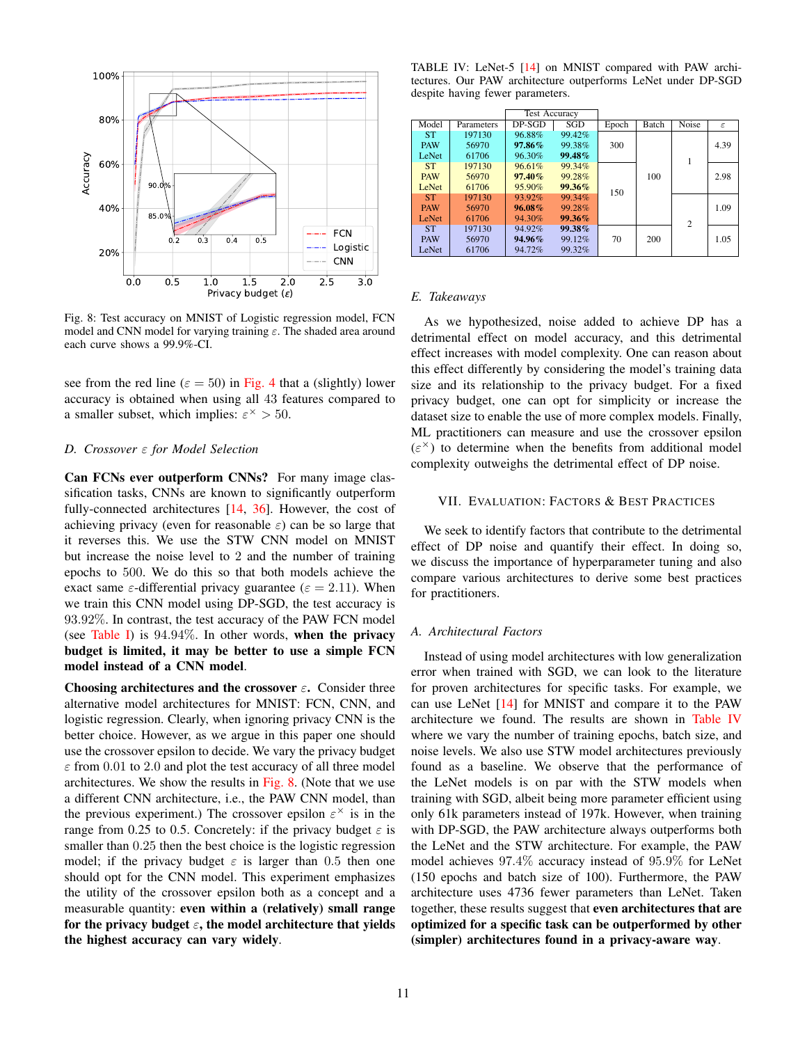<span id="page-10-1"></span>

Fig. 8: Test accuracy on MNIST of Logistic regression model, FCN model and CNN model for varying training  $\varepsilon$ . The shaded area around each curve shows a 99.9%-CI.

see from the red line ( $\varepsilon = 50$ ) in [Fig. 4](#page-7-0) that a (slightly) lower accuracy is obtained when using all 43 features compared to a smaller subset, which implies:  $\varepsilon^{\times} > 50$ .

# *D. Crossover* ε *for Model Selection*

Can FCNs ever outperform CNNs? For many image classification tasks, CNNs are known to significantly outperform fully-connected architectures [\[14,](#page-18-11) [36\]](#page-19-13). However, the cost of achieving privacy (even for reasonable  $\varepsilon$ ) can be so large that it reverses this. We use the STW CNN model on MNIST but increase the noise level to 2 and the number of training epochs to 500. We do this so that both models achieve the exact same  $\varepsilon$ -differential privacy guarantee ( $\varepsilon = 2.11$ ). When we train this CNN model using DP-SGD, the test accuracy is 93.92%. In contrast, the test accuracy of the PAW FCN model (see [Table I\)](#page-6-1) is  $94.94\%$ . In other words, when the privacy budget is limited, it may be better to use a simple FCN model instead of a CNN model.

Choosing architectures and the crossover  $\varepsilon$ . Consider three alternative model architectures for MNIST: FCN, CNN, and logistic regression. Clearly, when ignoring privacy CNN is the better choice. However, as we argue in this paper one should use the crossover epsilon to decide. We vary the privacy budget  $\varepsilon$  from 0.01 to 2.0 and plot the test accuracy of all three model architectures. We show the results in [Fig. 8.](#page-10-1) (Note that we use a different CNN architecture, i.e., the PAW CNN model, than the previous experiment.) The crossover epsilon  $\varepsilon^{\times}$  is in the range from 0.25 to 0.5. Concretely: if the privacy budget  $\varepsilon$  is smaller than 0.25 then the best choice is the logistic regression model; if the privacy budget  $\varepsilon$  is larger than 0.5 then one should opt for the CNN model. This experiment emphasizes the utility of the crossover epsilon both as a concept and a measurable quantity: even within a (relatively) small range for the privacy budget  $\varepsilon$ , the model architecture that yields the highest accuracy can vary widely.

<span id="page-10-2"></span>TABLE IV: LeNet-5 [\[14\]](#page-18-11) on MNIST compared with PAW architectures. Our PAW architecture outperforms LeNet under DP-SGD despite having fewer parameters.

|              |            | <b>Test Accuracy</b> |           |       |              |                |               |
|--------------|------------|----------------------|-----------|-------|--------------|----------------|---------------|
| Model        | Parameters | DP-SGD               | SGD       | Epoch | <b>Batch</b> | Noise          | $\varepsilon$ |
| <b>ST</b>    | 197130     | 96.88%               | 99.42%    |       |              |                |               |
| <b>PAW</b>   | 56970      | $97.86\%$            | 99.38%    | 300   |              |                | 4.39          |
| LeNet        | 61706      | 96.30%               | 99.48%    |       | 100          | 1              |               |
| <b>ST</b>    | 197130     | 96.61%               | 99.34%    |       |              |                |               |
| <b>PAW</b>   | 56970      | $97.40\%$            | 99.28%    |       |              |                | 2.98          |
| LeNet        | 61706      | $95.90\%$            | $99.36\%$ | 150   |              |                |               |
| <b>ST</b>    | 197130     | $93.92\%$            | 99.34%    |       |              |                |               |
| <b>PAW</b>   | 56970      | $96.08\%$            | 99.28%    |       |              |                | 1.09          |
| <b>LeNet</b> | 61706      | $94.30\%$            | $99.36\%$ |       |              | $\overline{c}$ |               |
| <b>ST</b>    | 197130     | 94.92%               | $99.38\%$ |       |              |                |               |
| <b>PAW</b>   | 56970      | $94.96\%$            | 99.12%    | 70    | 200          |                | 1.05          |
| LeNet        | 61706      | 94.72%               | 99.32%    |       |              |                |               |

## *E. Takeaways*

As we hypothesized, noise added to achieve DP has a detrimental effect on model accuracy, and this detrimental effect increases with model complexity. One can reason about this effect differently by considering the model's training data size and its relationship to the privacy budget. For a fixed privacy budget, one can opt for simplicity or increase the dataset size to enable the use of more complex models. Finally, ML practitioners can measure and use the crossover epsilon  $(\varepsilon^{\times})$  to determine when the benefits from additional model complexity outweighs the detrimental effect of DP noise.

## <span id="page-10-0"></span>VII. EVALUATION: FACTORS & BEST PRACTICES

We seek to identify factors that contribute to the detrimental effect of DP noise and quantify their effect. In doing so, we discuss the importance of hyperparameter tuning and also compare various architectures to derive some best practices for practitioners.

#### *A. Architectural Factors*

Instead of using model architectures with low generalization error when trained with SGD, we can look to the literature for proven architectures for specific tasks. For example, we can use LeNet [\[14\]](#page-18-11) for MNIST and compare it to the PAW architecture we found. The results are shown in [Table IV](#page-10-2) where we vary the number of training epochs, batch size, and noise levels. We also use STW model architectures previously found as a baseline. We observe that the performance of the LeNet models is on par with the STW models when training with SGD, albeit being more parameter efficient using only 61k parameters instead of 197k. However, when training with DP-SGD, the PAW architecture always outperforms both the LeNet and the STW architecture. For example, the PAW model achieves 97.4% accuracy instead of 95.9% for LeNet (150 epochs and batch size of 100). Furthermore, the PAW architecture uses 4736 fewer parameters than LeNet. Taken together, these results suggest that even architectures that are optimized for a specific task can be outperformed by other (simpler) architectures found in a privacy-aware way.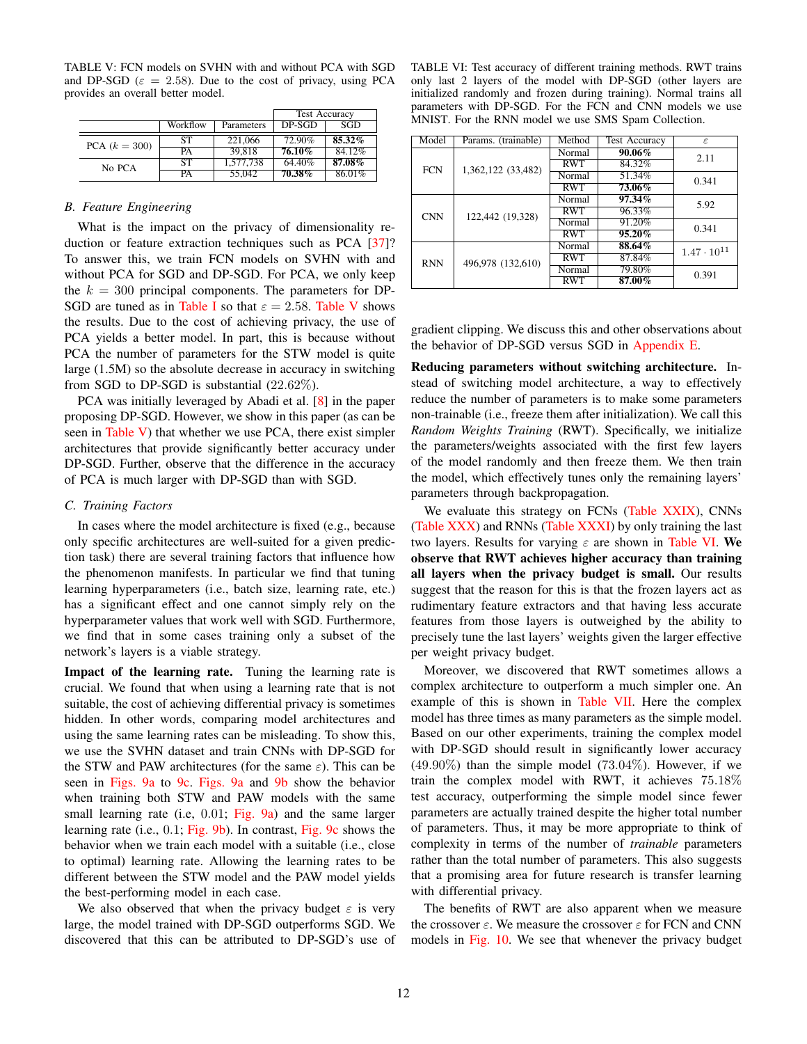<span id="page-11-1"></span>TABLE V: FCN models on SVHN with and without PCA with SGD and DP-SGD ( $\varepsilon = 2.58$ ). Due to the cost of privacy, using PCA provides an overall better model.

|                 |          |            | <b>Test Accuracy</b> |        |
|-----------------|----------|------------|----------------------|--------|
|                 | Workflow | Parameters | $DP-SGD$             | SGD    |
| PCA $(k = 300)$ | ST       | 221,066    | 72.90%               | 85.32% |
|                 | PА       | 39.818     | 76.10%               | 84.12% |
| No PCA          | ST       | 1,577,738  | 64.40%               | 87.08% |
|                 | РA       | 55,042     | $70.38\%$            | 86.01% |

# *B. Feature Engineering*

What is the impact on the privacy of dimensionality re-duction or feature extraction techniques such as PCA [\[37\]](#page-19-14)? To answer this, we train FCN models on SVHN with and without PCA for SGD and DP-SGD. For PCA, we only keep the  $k = 300$  principal components. The parameters for DP-SGD are tuned as in [Table I](#page-6-1) so that  $\varepsilon = 2.58$ . [Table V](#page-11-1) shows the results. Due to the cost of achieving privacy, the use of PCA yields a better model. In part, this is because without PCA the number of parameters for the STW model is quite large (1.5M) so the absolute decrease in accuracy in switching from SGD to DP-SGD is substantial (22.62%).

PCA was initially leveraged by Abadi et al. [\[8\]](#page-18-7) in the paper proposing DP-SGD. However, we show in this paper (as can be seen in [Table V\)](#page-11-1) that whether we use PCA, there exist simpler architectures that provide significantly better accuracy under DP-SGD. Further, observe that the difference in the accuracy of PCA is much larger with DP-SGD than with SGD.

#### <span id="page-11-0"></span>*C. Training Factors*

In cases where the model architecture is fixed (e.g., because only specific architectures are well-suited for a given prediction task) there are several training factors that influence how the phenomenon manifests. In particular we find that tuning learning hyperparameters (i.e., batch size, learning rate, etc.) has a significant effect and one cannot simply rely on the hyperparameter values that work well with SGD. Furthermore, we find that in some cases training only a subset of the network's layers is a viable strategy.

Impact of the learning rate. Tuning the learning rate is crucial. We found that when using a learning rate that is not suitable, the cost of achieving differential privacy is sometimes hidden. In other words, comparing model architectures and using the same learning rates can be misleading. To show this, we use the SVHN dataset and train CNNs with DP-SGD for the STW and PAW architectures (for the same  $\varepsilon$ ). This can be seen in [Figs. 9a](#page-12-1) to [9c.](#page-12-1) [Figs. 9a](#page-12-1) and [9b](#page-12-1) show the behavior when training both STW and PAW models with the same small learning rate (i.e, 0.01; [Fig. 9a\)](#page-12-1) and the same larger learning rate (i.e., 0.1; [Fig. 9b\)](#page-12-1). In contrast, [Fig. 9c](#page-12-1) shows the behavior when we train each model with a suitable (i.e., close to optimal) learning rate. Allowing the learning rates to be different between the STW model and the PAW model yields the best-performing model in each case.

We also observed that when the privacy budget  $\varepsilon$  is very large, the model trained with DP-SGD outperforms SGD. We discovered that this can be attributed to DP-SGD's use of

<span id="page-11-2"></span>TABLE VI: Test accuracy of different training methods. RWT trains only last 2 layers of the model with DP-SGD (other layers are initialized randomly and frozen during training). Normal trains all parameters with DP-SGD. For the FCN and CNN models we use MNIST. For the RNN model we use SMS Spam Collection.

| Model      | Params. (trainable)            | Method     | <b>Test Accuracy</b> | $\varepsilon$        |
|------------|--------------------------------|------------|----------------------|----------------------|
|            |                                | Normal     | $90.06\%$            | 2.11                 |
| <b>FCN</b> | 1,362,122 (33,482)             | <b>RWT</b> | 84.32%               |                      |
|            |                                | Normal     | 51.34%               | 0.341                |
|            |                                | <b>RWT</b> | 73.06%               |                      |
|            | 122,442 (19,328)<br><b>CNN</b> | Normal     | $97.34\%$            | 5.92                 |
|            |                                | <b>RWT</b> | 96.33%               |                      |
|            |                                | Normal     | 91.20%               | 0.341                |
|            |                                | <b>RWT</b> | $95.20\%$            |                      |
|            |                                | Normal     | 88.64%               | $1.47 \cdot 10^{11}$ |
| <b>RNN</b> | 496,978 (132,610)              | <b>RWT</b> | 87.84%               |                      |
|            |                                | Normal     | 79.80%               | 0.391                |
|            |                                | <b>RWT</b> | 87.00%               |                      |

gradient clipping. We discuss this and other observations about the behavior of DP-SGD versus SGD in [Appendix E.](#page-22-0)

Reducing parameters without switching architecture. Instead of switching model architecture, a way to effectively reduce the number of parameters is to make some parameters non-trainable (i.e., freeze them after initialization). We call this *Random Weights Training* (RWT). Specifically, we initialize the parameters/weights associated with the first few layers of the model randomly and then freeze them. We then train the model, which effectively tunes only the remaining layers' parameters through backpropagation.

We evaluate this strategy on FCNs [\(Table XXIX\)](#page-24-0), CNNs [\(Table XXX\)](#page-24-1) and RNNs [\(Table XXXI\)](#page-24-2) by only training the last two layers. Results for varying  $\varepsilon$  are shown in [Table VI.](#page-11-2) We observe that RWT achieves higher accuracy than training all layers when the privacy budget is small. Our results suggest that the reason for this is that the frozen layers act as rudimentary feature extractors and that having less accurate features from those layers is outweighed by the ability to precisely tune the last layers' weights given the larger effective per weight privacy budget.

Moreover, we discovered that RWT sometimes allows a complex architecture to outperform a much simpler one. An example of this is shown in [Table VII.](#page-12-2) Here the complex model has three times as many parameters as the simple model. Based on our other experiments, training the complex model with DP-SGD should result in significantly lower accuracy  $(49.90\%)$  than the simple model  $(73.04\%)$ . However, if we train the complex model with RWT, it achieves 75.18% test accuracy, outperforming the simple model since fewer parameters are actually trained despite the higher total number of parameters. Thus, it may be more appropriate to think of complexity in terms of the number of *trainable* parameters rather than the total number of parameters. This also suggests that a promising area for future research is transfer learning with differential privacy.

The benefits of RWT are also apparent when we measure the crossover  $\varepsilon$ . We measure the crossover  $\varepsilon$  for FCN and CNN models in [Fig. 10.](#page-12-3) We see that whenever the privacy budget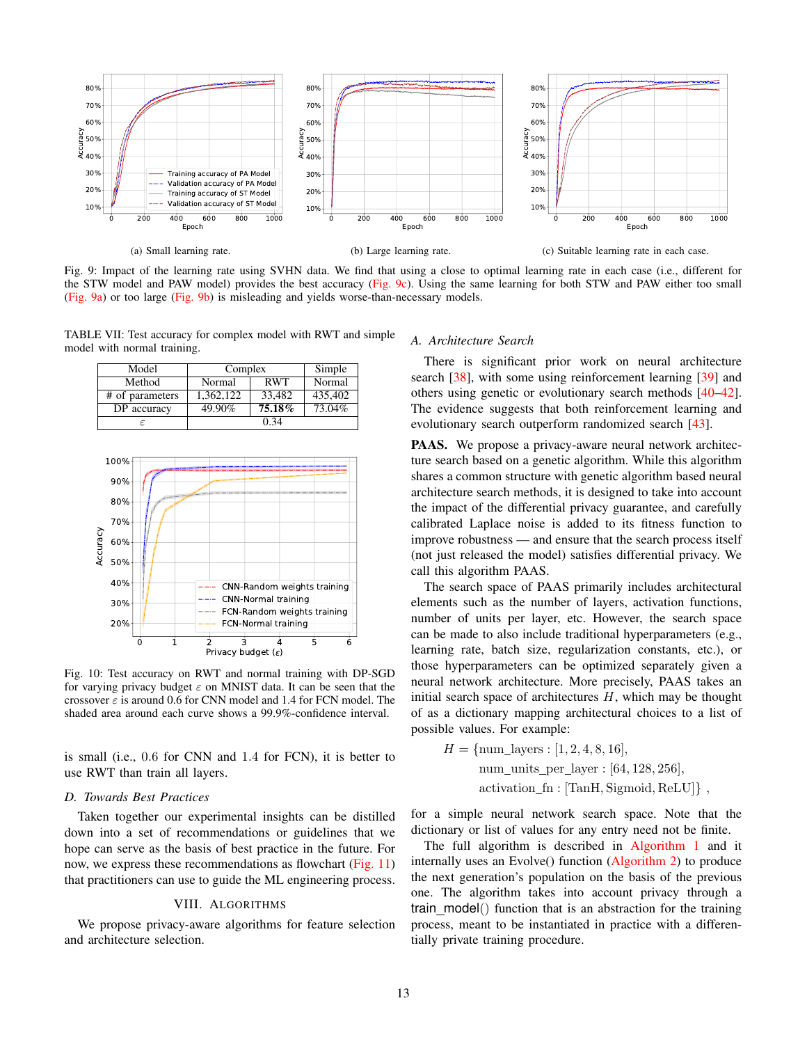<span id="page-12-1"></span>

Fig. 9: Impact of the learning rate using SVHN data. We find that using a close to optimal learning rate in each case (i.e., different for the STW model and PAW model) provides the best accuracy [\(Fig. 9c\)](#page-12-1). Using the same learning for both STW and PAW either too small [\(Fig. 9a\)](#page-12-1) or too large [\(Fig. 9b\)](#page-12-1) is misleading and yields worse-than-necessary models.

<span id="page-12-2"></span>TABLE VII: Test accuracy for complex model with RWT and simple model with normal training.

| Model           | Complex   |            | Simple  |
|-----------------|-----------|------------|---------|
| Method          | Normal    | <b>RWT</b> | Normal  |
| # of parameters | 1.362.122 | 33,482     | 435,402 |
| DP accuracy     | 49.90%    | 75.18%     | 73.04%  |
|                 |           | 0.34       |         |

<span id="page-12-3"></span>

Fig. 10: Test accuracy on RWT and normal training with DP-SGD for varying privacy budget  $\varepsilon$  on MNIST data. It can be seen that the crossover  $\varepsilon$  is around 0.6 for CNN model and 1.4 for FCN model. The shaded area around each curve shows a 99.9%-confidence interval.

is small (i.e., 0.6 for CNN and 1.4 for FCN), it is better to use RWT than train all layers.

# *D. Towards Best Practices*

Taken together our experimental insights can be distilled down into a set of recommendations or guidelines that we hope can serve as the basis of best practice in the future. For now, we express these recommendations as flowchart [\(Fig. 11\)](#page-13-1) that practitioners can use to guide the ML engineering process.

## VIII. ALGORITHMS

<span id="page-12-0"></span>We propose privacy-aware algorithms for feature selection and architecture selection.

#### <span id="page-12-4"></span>*A. Architecture Search*

There is significant prior work on neural architecture search [\[38\]](#page-19-15), with some using reinforcement learning [\[39\]](#page-19-16) and others using genetic or evolutionary search methods [\[40](#page-19-17)[–42\]](#page-19-18). The evidence suggests that both reinforcement learning and evolutionary search outperform randomized search [\[43\]](#page-19-19).

PAAS. We propose a privacy-aware neural network architecture search based on a genetic algorithm. While this algorithm shares a common structure with genetic algorithm based neural architecture search methods, it is designed to take into account the impact of the differential privacy guarantee, and carefully calibrated Laplace noise is added to its fitness function to improve robustness — and ensure that the search process itself (not just released the model) satisfies differential privacy. We call this algorithm PAAS.

The search space of PAAS primarily includes architectural elements such as the number of layers, activation functions, number of units per layer, etc. However, the search space can be made to also include traditional hyperparameters (e.g., learning rate, batch size, regularization constants, etc.), or those hyperparameters can be optimized separately given a neural network architecture. More precisely, PAAS takes an initial search space of architectures  $H$ , which may be thought of as a dictionary mapping architectural choices to a list of possible values. For example:

$$
H = \{ \text{num\_layers}: [1, 2, 4, 8, 16],
$$
  
\n
$$
num\_units\_per\_layer: [64, 128, 256],
$$
  
\n
$$
activation\_fn: [TanH, Sigmoid, ReLU] \},
$$

for a simple neural network search space. Note that the dictionary or list of values for any entry need not be finite.

The full algorithm is described in [Algorithm 1](#page-14-0) and it internally uses an Evolve() function [\(Algorithm 2\)](#page-14-1) to produce the next generation's population on the basis of the previous one. The algorithm takes into account privacy through a train model() function that is an abstraction for the training process, meant to be instantiated in practice with a differentially private training procedure.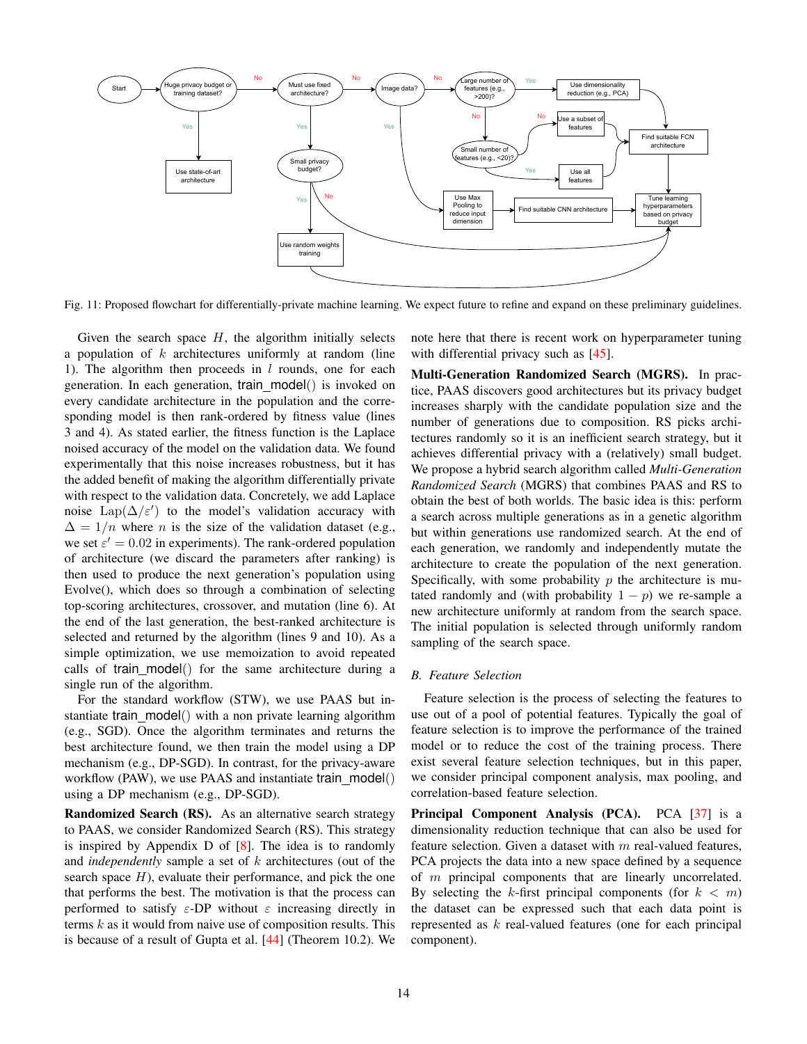<span id="page-13-1"></span>

Fig. 11: Proposed flowchart for differentially-private machine learning. We expect future to refine and expand on these preliminary guidelines.

Given the search space  $H$ , the algorithm initially selects a population of  $k$  architectures uniformly at random (line 1). The algorithm then proceeds in  $l$  rounds, one for each generation. In each generation, train model() is invoked on every candidate architecture in the population and the corresponding model is then rank-ordered by fitness value (lines 3 and 4). As stated earlier, the fitness function is the Laplace noised accuracy of the model on the validation data. We found experimentally that this noise increases robustness, but it has the added benefit of making the algorithm differentially private with respect to the validation data. Concretely, we add Laplace noise  $\text{Lap}(\Delta/\varepsilon')$  to the model's validation accuracy with  $\Delta = 1/n$  where *n* is the size of the validation dataset (e.g., we set  $\varepsilon' = 0.02$  in experiments). The rank-ordered population of architecture (we discard the parameters after ranking) is then used to produce the next generation's population using Evolve(), which does so through a combination of selecting top-scoring architectures, crossover, and mutation (line 6). At the end of the last generation, the best-ranked architecture is selected and returned by the algorithm (lines 9 and 10). As a simple optimization, we use memoization to avoid repeated calls of train model() for the same architecture during a single run of the algorithm.

For the standard workflow (STW), we use PAAS but instantiate train\_model() with a non private learning algorithm (e.g., SGD). Once the algorithm terminates and returns the best architecture found, we then train the model using a DP mechanism (e.g., DP-SGD). In contrast, for the privacy-aware workflow (PAW), we use PAAS and instantiate train model() using a DP mechanism (e.g., DP-SGD).

Randomized Search (RS). As an alternative search strategy to PAAS, we consider Randomized Search (RS). This strategy is inspired by Appendix D of  $[8]$ . The idea is to randomly and *independently* sample a set of k architectures (out of the search space  $H$ ), evaluate their performance, and pick the one that performs the best. The motivation is that the process can performed to satisfy  $\varepsilon$ -DP without  $\varepsilon$  increasing directly in terms  $k$  as it would from naive use of composition results. This is because of a result of Gupta et al. [\[44\]](#page-19-20) (Theorem 10.2). We note here that there is recent work on hyperparameter tuning with differential privacy such as  $[45]$ .

Multi-Generation Randomized Search (MGRS). In practice, PAAS discovers good architectures but its privacy budget increases sharply with the candidate population size and the number of generations due to composition. RS picks architectures randomly so it is an inefficient search strategy, but it achieves differential privacy with a (relatively) small budget. We propose a hybrid search algorithm called *Multi-Generation Randomized Search* (MGRS) that combines PAAS and RS to obtain the best of both worlds. The basic idea is this: perform a search across multiple generations as in a genetic algorithm but within generations use randomized search. At the end of each generation, we randomly and independently mutate the architecture to create the population of the next generation. Specifically, with some probability  $p$  the architecture is mutated randomly and (with probability  $1 - p$ ) we re-sample a new architecture uniformly at random from the search space. The initial population is selected through uniformly random sampling of the search space.

# <span id="page-13-0"></span>*B. Feature Selection*

Feature selection is the process of selecting the features to use out of a pool of potential features. Typically the goal of feature selection is to improve the performance of the trained model or to reduce the cost of the training process. There exist several feature selection techniques, but in this paper, we consider principal component analysis, max pooling, and correlation-based feature selection.

Principal Component Analysis (PCA). PCA [\[37\]](#page-19-14) is a dimensionality reduction technique that can also be used for feature selection. Given a dataset with  $m$  real-valued features, PCA projects the data into a new space defined by a sequence of m principal components that are linearly uncorrelated. By selecting the k-first principal components (for  $k < m$ ) the dataset can be expressed such that each data point is represented as k real-valued features (one for each principal component).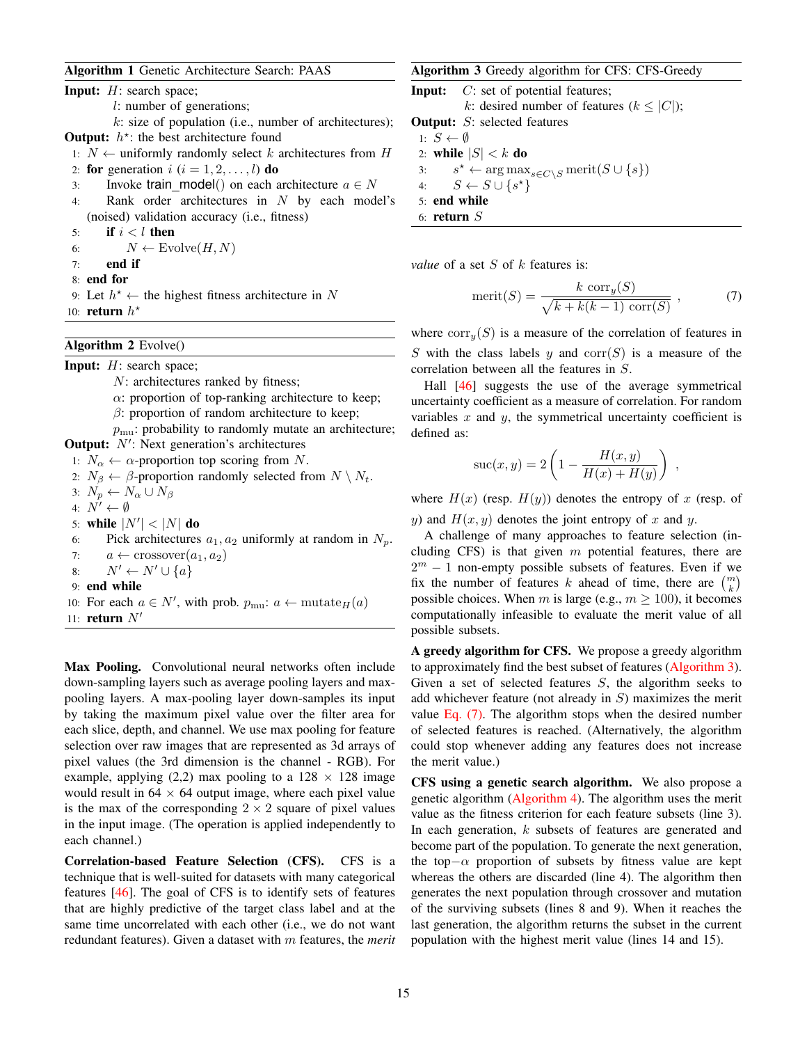# <span id="page-14-0"></span>Algorithm 1 Genetic Architecture Search: PAAS

**Input:**  $H$ : search space;

l: number of generations;

 $k$ : size of population (i.e., number of architectures); **Output:**  $h^*$ : the best architecture found

- 1:  $N$  ← uniformly randomly select k architectures from H
- 2: for generation  $i$   $(i = 1, 2, \ldots, l)$  do
- 3: Invoke train model() on each architecture  $a \in N$
- 4: Rank order architectures in  $N$  by each model's (noised) validation accuracy (i.e., fitness)
- 5: if  $i < l$  then
- 6:  $N \leftarrow \text{Evolve}(H, N)$
- $7:$  end if
- 8: end for

9: Let  $h^* \leftarrow$  the highest fitness architecture in N 10: **return**  $h^*$ 

<span id="page-14-1"></span>Algorithm 2 Evolve()

**Input:**  $H$ : search space;

- N: architectures ranked by fitness;
- $\alpha$ : proportion of top-ranking architecture to keep;
- $\beta$ : proportion of random architecture to keep;

 $p_{\text{mu}}$ : probability to randomly mutate an architecture;

**Output:**  $N'$ : Next generation's architectures 1:  $N_{\alpha} \leftarrow \alpha$ -proportion top scoring from N.

- 2:  $N_{\beta} \leftarrow \beta$ -proportion randomly selected from  $N \setminus N_t$ . 3:  $N_p \leftarrow N_\alpha \cup N_\beta$
- 4:  $\overrightarrow{N'} \leftarrow \emptyset$
- 5: while  $|N'| < |N|$  do
- 6: Pick architectures  $a_1, a_2$  uniformly at random in  $N_p$ .
- 7:  $a \leftarrow \text{crossover}(a_1, a_2)$
- 8:  $N' \leftarrow N' \cup \{a\}$
- 9: end while
- 10: For each  $a \in N'$ , with prob.  $p_{\text{mu}}: a \leftarrow \text{mutate}_H(a)$ 11: return  $N'$

Max Pooling. Convolutional neural networks often include down-sampling layers such as average pooling layers and maxpooling layers. A max-pooling layer down-samples its input by taking the maximum pixel value over the filter area for each slice, depth, and channel. We use max pooling for feature selection over raw images that are represented as 3d arrays of pixel values (the 3rd dimension is the channel - RGB). For example, applying (2,2) max pooling to a  $128 \times 128$  image would result in  $64 \times 64$  output image, where each pixel value is the max of the corresponding  $2 \times 2$  square of pixel values in the input image. (The operation is applied independently to each channel.)

Correlation-based Feature Selection (CFS). CFS is a technique that is well-suited for datasets with many categorical features [\[46\]](#page-19-22). The goal of CFS is to identify sets of features that are highly predictive of the target class label and at the same time uncorrelated with each other (i.e., we do not want redundant features). Given a dataset with m features, the *merit*

# <span id="page-14-2"></span>Algorithm 3 Greedy algorithm for CFS: CFS-Greedy

**Input:**  $C$ : set of potential features; k: desired number of features ( $k \leq |C|$ ); **Output:** S: selected features 1:  $S \leftarrow \emptyset$ 2: while  $|S| < k$  do 3:  $s^* \leftarrow \arg \max_{s \in C \setminus S} \text{merit}(S \cup \{s\})$ 

4:  $S \leftarrow S \cup \{s^{\star}\}\$ 

- 5: end while
- 6: return S

*value* of a set S of k features is:

<span id="page-14-3"></span>
$$
merit(S) = \frac{k \operatorname{corr}_y(S)}{\sqrt{k + k(k-1) \operatorname{corr}(S)}},\tag{7}
$$

where  $corr_u(S)$  is a measure of the correlation of features in S with the class labels y and  $corr(S)$  is a measure of the correlation between all the features in S.

Hall [\[46\]](#page-19-22) suggests the use of the average symmetrical uncertainty coefficient as a measure of correlation. For random variables  $x$  and  $y$ , the symmetrical uncertainty coefficient is defined as:

$$
succ(x, y) = 2\left(1 - \frac{H(x, y)}{H(x) + H(y)}\right) ,
$$

where  $H(x)$  (resp.  $H(y)$ ) denotes the entropy of x (resp. of y) and  $H(x, y)$  denotes the joint entropy of x and y.

A challenge of many approaches to feature selection (including CFS) is that given  $m$  potential features, there are  $2^m - 1$  non-empty possible subsets of features. Even if we fix the number of features k ahead of time, there are  $\binom{m}{k}$ possible choices. When m is large (e.g.,  $m \ge 100$ ), it becomes computationally infeasible to evaluate the merit value of all possible subsets.

A greedy algorithm for CFS. We propose a greedy algorithm to approximately find the best subset of features [\(Algorithm 3\)](#page-14-2). Given a set of selected features  $S$ , the algorithm seeks to add whichever feature (not already in S) maximizes the merit value [Eq. \(7\).](#page-14-3) The algorithm stops when the desired number of selected features is reached. (Alternatively, the algorithm could stop whenever adding any features does not increase the merit value.)

CFS using a genetic search algorithm. We also propose a genetic algorithm [\(Algorithm 4\)](#page-15-1). The algorithm uses the merit value as the fitness criterion for each feature subsets (line 3). In each generation, k subsets of features are generated and become part of the population. To generate the next generation, the top− $\alpha$  proportion of subsets by fitness value are kept whereas the others are discarded (line 4). The algorithm then generates the next population through crossover and mutation of the surviving subsets (lines 8 and 9). When it reaches the last generation, the algorithm returns the subset in the current population with the highest merit value (lines 14 and 15).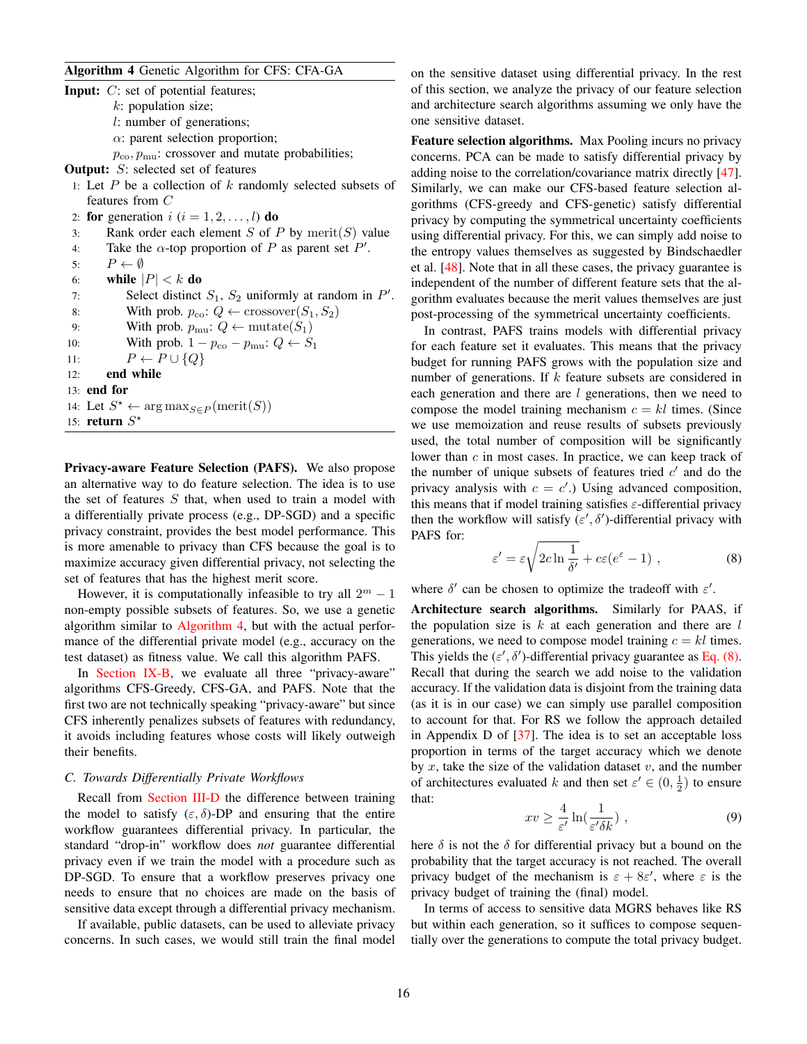# <span id="page-15-1"></span>Algorithm 4 Genetic Algorithm for CFS: CFA-GA

**Input:**  $C$ : set of potential features; k: population size; l: number of generations;  $\alpha$ : parent selection proportion;  $p_{\rm co}, p_{\rm mu}$ : crossover and mutate probabilities; **Output:** S: selected set of features 1: Let  $P$  be a collection of  $k$  randomly selected subsets of features from C 2: for generation  $i$   $(i = 1, 2, \ldots, l)$  do 3: Rank order each element  $S$  of  $P$  by merit $(S)$  value 4: Take the  $\alpha$ -top proportion of P as parent set P'. 5:  $P \leftarrow \emptyset$ 6: while  $|P| < k$  do 7: Select distinct  $S_1$ ,  $S_2$  uniformly at random in  $P'$ . 8: With prob.  $p_{\text{co}}: Q \leftarrow \text{crossover}(S_1, S_2)$ 9: With prob.  $p_{\text{mu}}: Q \leftarrow \text{mutate}(S_1)$ 10: With prob.  $1 - p_{\text{co}} - p_{\text{mu}}$ :  $Q \leftarrow S_1$ 11:  $P \leftarrow P \cup \{Q\}$ 12: end while 13: end for 14: Let  $S^* \leftarrow \arg \max_{S \in P}(\text{merit}(S))$ 15: **return**  $S^*$ 

Privacy-aware Feature Selection (PAFS). We also propose an alternative way to do feature selection. The idea is to use the set of features  $S$  that, when used to train a model with a differentially private process (e.g., DP-SGD) and a specific privacy constraint, provides the best model performance. This is more amenable to privacy than CFS because the goal is to maximize accuracy given differential privacy, not selecting the set of features that has the highest merit score.

However, it is computationally infeasible to try all  $2^m - 1$ non-empty possible subsets of features. So, we use a genetic algorithm similar to [Algorithm 4,](#page-15-1) but with the actual performance of the differential private model (e.g., accuracy on the test dataset) as fitness value. We call this algorithm PAFS.

In [Section IX-B,](#page-17-1) we evaluate all three "privacy-aware" algorithms CFS-Greedy, CFS-GA, and PAFS. Note that the first two are not technically speaking "privacy-aware" but since CFS inherently penalizes subsets of features with redundancy, it avoids including features whose costs will likely outweigh their benefits.

# <span id="page-15-0"></span>*C. Towards Differentially Private Workflows*

Recall from [Section III-D](#page-4-4) the difference between training the model to satisfy  $(\varepsilon, \delta)$ -DP and ensuring that the entire workflow guarantees differential privacy. In particular, the standard "drop-in" workflow does *not* guarantee differential privacy even if we train the model with a procedure such as DP-SGD. To ensure that a workflow preserves privacy one needs to ensure that no choices are made on the basis of sensitive data except through a differential privacy mechanism.

If available, public datasets, can be used to alleviate privacy concerns. In such cases, we would still train the final model on the sensitive dataset using differential privacy. In the rest of this section, we analyze the privacy of our feature selection and architecture search algorithms assuming we only have the one sensitive dataset.

Feature selection algorithms. Max Pooling incurs no privacy concerns. PCA can be made to satisfy differential privacy by adding noise to the correlation/covariance matrix directly [\[47\]](#page-19-23). Similarly, we can make our CFS-based feature selection algorithms (CFS-greedy and CFS-genetic) satisfy differential privacy by computing the symmetrical uncertainty coefficients using differential privacy. For this, we can simply add noise to the entropy values themselves as suggested by Bindschaedler et al. [\[48\]](#page-19-24). Note that in all these cases, the privacy guarantee is independent of the number of different feature sets that the algorithm evaluates because the merit values themselves are just post-processing of the symmetrical uncertainty coefficients.

In contrast, PAFS trains models with differential privacy for each feature set it evaluates. This means that the privacy budget for running PAFS grows with the population size and number of generations. If k feature subsets are considered in each generation and there are  $l$  generations, then we need to compose the model training mechanism  $c = kl$  times. (Since we use memoization and reuse results of subsets previously used, the total number of composition will be significantly lower than  $c$  in most cases. In practice, we can keep track of the number of unique subsets of features tried  $c'$  and do the privacy analysis with  $c = c'$ .) Using advanced composition, this means that if model training satisfies  $\varepsilon$ -differential privacy then the workflow will satisfy  $(\varepsilon', \delta')$ -differential privacy with PAFS for:

<span id="page-15-2"></span>
$$
\varepsilon' = \varepsilon \sqrt{2c \ln \frac{1}{\delta'}} + c\varepsilon (e^{\varepsilon} - 1) , \qquad (8)
$$

where  $\delta'$  can be chosen to optimize the tradeoff with  $\varepsilon'$ .

Architecture search algorithms. Similarly for PAAS, if the population size is  $k$  at each generation and there are  $l$ generations, we need to compose model training  $c = kl$  times. This yields the  $(\varepsilon', \delta')$ -differential privacy guarantee as [Eq. \(8\).](#page-15-2) Recall that during the search we add noise to the validation accuracy. If the validation data is disjoint from the training data (as it is in our case) we can simply use parallel composition to account for that. For RS we follow the approach detailed in Appendix D of [\[37\]](#page-19-14). The idea is to set an acceptable loss proportion in terms of the target accuracy which we denote by  $x$ , take the size of the validation dataset  $v$ , and the number of architectures evaluated k and then set  $\varepsilon' \in (0, \frac{1}{2})$  to ensure that:

<span id="page-15-3"></span>
$$
xv \ge \frac{4}{\varepsilon'} \ln(\frac{1}{\varepsilon'\delta k}) \tag{9}
$$

here  $\delta$  is not the  $\delta$  for differential privacy but a bound on the probability that the target accuracy is not reached. The overall privacy budget of the mechanism is  $\varepsilon + 8\varepsilon'$ , where  $\varepsilon$  is the privacy budget of training the (final) model.

In terms of access to sensitive data MGRS behaves like RS but within each generation, so it suffices to compose sequentially over the generations to compute the total privacy budget.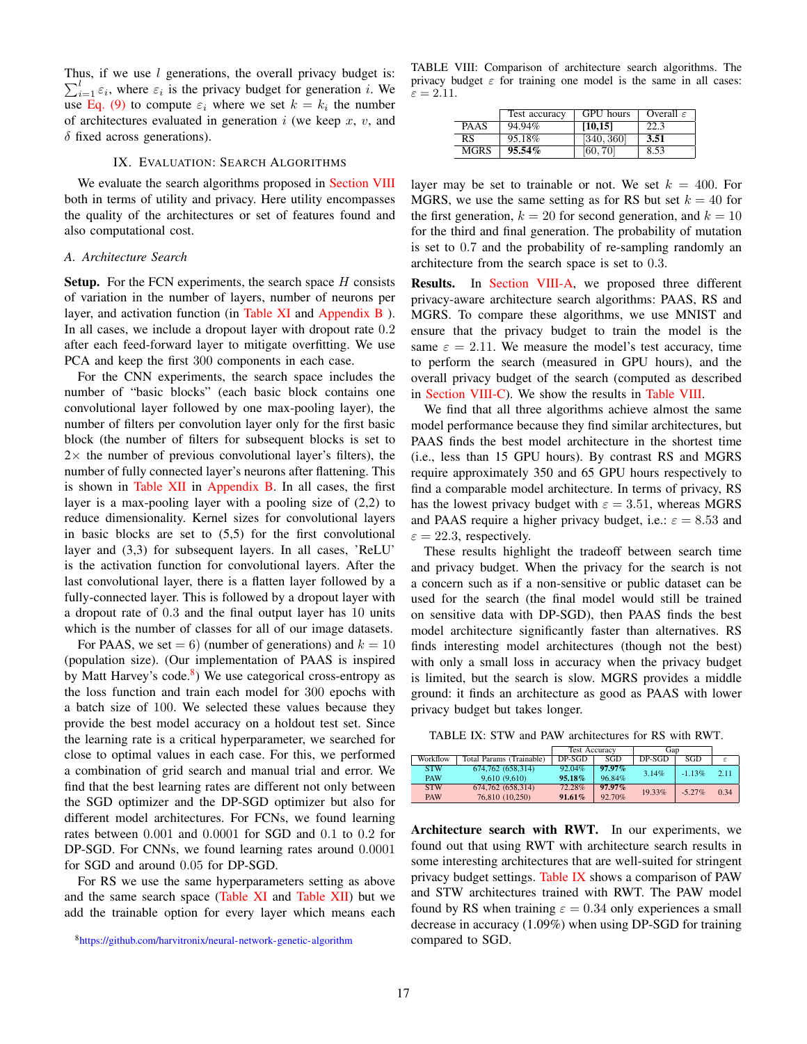$\sum_{i=1}^{l} \varepsilon_i$ , where  $\varepsilon_i$  is the privacy budget for generation *i*. We Thus, if we use  $l$  generations, the overall privacy budget is: use [Eq. \(9\)](#page-15-3) to compute  $\varepsilon_i$  where we set  $k = k_i$  the number of architectures evaluated in generation  $i$  (we keep  $x$ ,  $v$ , and  $\delta$  fixed across generations).

#### IX. EVALUATION: SEARCH ALGORITHMS

<span id="page-16-0"></span>We evaluate the search algorithms proposed in [Section VIII](#page-12-0) both in terms of utility and privacy. Here utility encompasses the quality of the architectures or set of features found and also computational cost.

#### *A. Architecture Search*

**Setup.** For the FCN experiments, the search space  $H$  consists of variation in the number of layers, number of neurons per layer, and activation function (in [Table XI](#page-21-0) and [Appendix B](#page-20-2) ). In all cases, we include a dropout layer with dropout rate 0.2 after each feed-forward layer to mitigate overfitting. We use PCA and keep the first 300 components in each case.

For the CNN experiments, the search space includes the number of "basic blocks" (each basic block contains one convolutional layer followed by one max-pooling layer), the number of filters per convolution layer only for the first basic block (the number of filters for subsequent blocks is set to  $2\times$  the number of previous convolutional layer's filters), the number of fully connected layer's neurons after flattening. This is shown in [Table XII](#page-21-1) in [Appendix B.](#page-20-2) In all cases, the first layer is a max-pooling layer with a pooling size of (2,2) to reduce dimensionality. Kernel sizes for convolutional layers in basic blocks are set to (5,5) for the first convolutional layer and (3,3) for subsequent layers. In all cases, 'ReLU' is the activation function for convolutional layers. After the last convolutional layer, there is a flatten layer followed by a fully-connected layer. This is followed by a dropout layer with a dropout rate of 0.3 and the final output layer has 10 units which is the number of classes for all of our image datasets.

For PAAS, we set = 6) (number of generations) and  $k = 10$ (population size). (Our implementation of PAAS is inspired by Matt Harvey's code.<sup>[8](#page-16-1)</sup>) We use categorical cross-entropy as the loss function and train each model for 300 epochs with a batch size of 100. We selected these values because they provide the best model accuracy on a holdout test set. Since the learning rate is a critical hyperparameter, we searched for close to optimal values in each case. For this, we performed a combination of grid search and manual trial and error. We find that the best learning rates are different not only between the SGD optimizer and the DP-SGD optimizer but also for different model architectures. For FCNs, we found learning rates between 0.001 and 0.0001 for SGD and 0.1 to 0.2 for DP-SGD. For CNNs, we found learning rates around 0.0001 for SGD and around 0.05 for DP-SGD.

For RS we use the same hyperparameters setting as above and the same search space [\(Table XI](#page-21-0) and [Table XII\)](#page-21-1) but we add the trainable option for every layer which means each

<span id="page-16-2"></span>TABLE VIII: Comparison of architecture search algorithms. The privacy budget  $\varepsilon$  for training one model is the same in all cases:  $\varepsilon = 2.11.$ 

|             | Test accuracy | <b>GPU</b> hours | Overall $\varepsilon$ |
|-------------|---------------|------------------|-----------------------|
| <b>PAAS</b> | 94.94%        | [10, 15]         | 22.3                  |
| RS          | 95.18%        | [340, 360]       | 3.51                  |
| <b>MGRS</b> | $95.54\%$     | [60.70]          | 8.53                  |

layer may be set to trainable or not. We set  $k = 400$ . For MGRS, we use the same setting as for RS but set  $k = 40$  for the first generation,  $k = 20$  for second generation, and  $k = 10$ for the third and final generation. The probability of mutation is set to 0.7 and the probability of re-sampling randomly an architecture from the search space is set to 0.3.

Results. In [Section VIII-A,](#page-12-4) we proposed three different privacy-aware architecture search algorithms: PAAS, RS and MGRS. To compare these algorithms, we use MNIST and ensure that the privacy budget to train the model is the same  $\varepsilon = 2.11$ . We measure the model's test accuracy, time to perform the search (measured in GPU hours), and the overall privacy budget of the search (computed as described in [Section VIII-C\)](#page-15-0). We show the results in [Table VIII.](#page-16-2)

We find that all three algorithms achieve almost the same model performance because they find similar architectures, but PAAS finds the best model architecture in the shortest time (i.e., less than 15 GPU hours). By contrast RS and MGRS require approximately 350 and 65 GPU hours respectively to find a comparable model architecture. In terms of privacy, RS has the lowest privacy budget with  $\varepsilon = 3.51$ , whereas MGRS and PAAS require a higher privacy budget, i.e.:  $\varepsilon = 8.53$  and  $\varepsilon = 22.3$ , respectively.

These results highlight the tradeoff between search time and privacy budget. When the privacy for the search is not a concern such as if a non-sensitive or public dataset can be used for the search (the final model would still be trained on sensitive data with DP-SGD), then PAAS finds the best model architecture significantly faster than alternatives. RS finds interesting model architectures (though not the best) with only a small loss in accuracy when the privacy budget is limited, but the search is slow. MGRS provides a middle ground: it finds an architecture as good as PAAS with lower privacy budget but takes longer.

<span id="page-16-3"></span>TABLE IX: STW and PAW architectures for RS with RWT.

|            |                          | <b>Test Accuracy</b> |           | Gap      |           |      |
|------------|--------------------------|----------------------|-----------|----------|-----------|------|
| Workflow   | Total Params (Trainable) | $DP-SGD$             | SGD       | $DP-SGD$ | SGD       | ε    |
| <b>STW</b> | 674.762 (658.314)        | $92.04\%$            | $97.97\%$ | 3.14%    | $-1.13%$  | 2.11 |
| <b>PAW</b> | 9,610(9,610)             | $95.18\%$            | 96.84%    |          |           |      |
| <b>STW</b> | 674.762 (658.314)        | 72.28%               | $97.97\%$ | 19.33%   | $-5.27\%$ | 0.34 |
| <b>PAW</b> | 76,810 (10,250)          | 91.61%               | 92.70%    |          |           |      |

Architecture search with RWT. In our experiments, we found out that using RWT with architecture search results in some interesting architectures that are well-suited for stringent privacy budget settings. [Table IX](#page-16-3) shows a comparison of PAW and STW architectures trained with RWT. The PAW model found by RS when training  $\varepsilon = 0.34$  only experiences a small decrease in accuracy (1.09%) when using DP-SGD for training compared to SGD.

<span id="page-16-1"></span><sup>8</sup><https://github.com/harvitronix/neural-network-genetic-algorithm>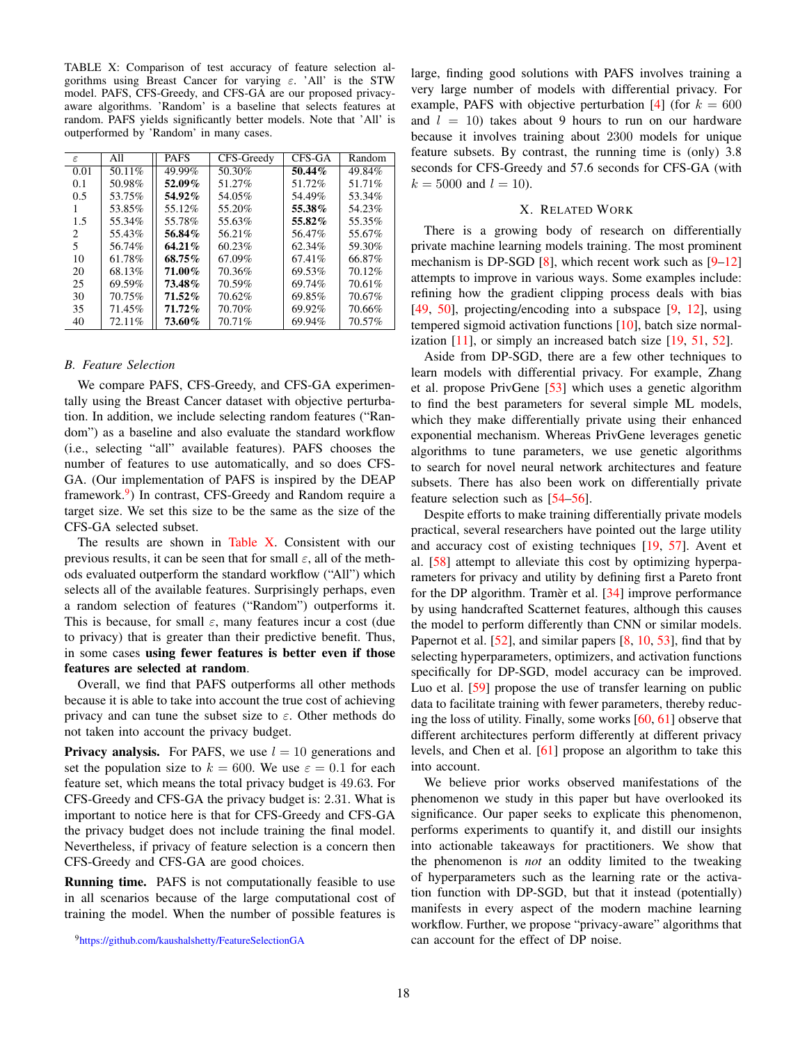<span id="page-17-3"></span>TABLE X: Comparison of test accuracy of feature selection algorithms using Breast Cancer for varying  $\varepsilon$ . 'All' is the STW model. PAFS, CFS-Greedy, and CFS-GA are our proposed privacyaware algorithms. 'Random' is a baseline that selects features at random. PAFS yields significantly better models. Note that 'All' is outperformed by 'Random' in many cases.

| ε    | All    | <b>PAFS</b> | CFS-Greedy | CFS-GA | Random |
|------|--------|-------------|------------|--------|--------|
| 0.01 | 50.11% | 49.99%      | 50.30%     | 50.44% | 49.84% |
| 0.1  | 50.98% | 52.09%      | 51.27%     | 51.72% | 51.71% |
| 0.5  | 53.75% | 54.92%      | 54.05%     | 54.49% | 53.34% |
|      | 53.85% | 55.12%      | 55.20%     | 55.38% | 54.23% |
| 1.5  | 55.34% | 55.78%      | 55.63%     | 55.82% | 55.35% |
| 2    | 55.43% | 56.84%      | 56.21%     | 56.47% | 55.67% |
| 5    | 56.74% | $64.21\%$   | 60.23%     | 62.34% | 59.30% |
| 10   | 61.78% | 68.75%      | 67.09%     | 67.41% | 66.87% |
| 20   | 68.13% | 71.00%      | 70.36%     | 69.53% | 70.12% |
| 25   | 69.59% | 73.48%      | 70.59%     | 69.74% | 70.61% |
| 30   | 70.75% | 71.52%      | 70.62%     | 69.85% | 70.67% |
| 35   | 71.45% | 71.72%      | 70.70%     | 69.92% | 70.66% |
| 40   | 72.11% | 73.60%      | 70.71%     | 69.94% | 70.57% |

## <span id="page-17-1"></span>*B. Feature Selection*

We compare PAFS, CFS-Greedy, and CFS-GA experimentally using the Breast Cancer dataset with objective perturbation. In addition, we include selecting random features ("Random") as a baseline and also evaluate the standard workflow (i.e., selecting "all" available features). PAFS chooses the number of features to use automatically, and so does CFS-GA. (Our implementation of PAFS is inspired by the DEAP framework.<sup>[9](#page-17-2)</sup>) In contrast, CFS-Greedy and Random require a target size. We set this size to be the same as the size of the CFS-GA selected subset.

The results are shown in [Table X.](#page-17-3) Consistent with our previous results, it can be seen that for small  $\varepsilon$ , all of the methods evaluated outperform the standard workflow ("All") which selects all of the available features. Surprisingly perhaps, even a random selection of features ("Random") outperforms it. This is because, for small  $\varepsilon$ , many features incur a cost (due to privacy) that is greater than their predictive benefit. Thus, in some cases using fewer features is better even if those features are selected at random.

Overall, we find that PAFS outperforms all other methods because it is able to take into account the true cost of achieving privacy and can tune the subset size to  $\varepsilon$ . Other methods do not taken into account the privacy budget.

**Privacy analysis.** For PAFS, we use  $l = 10$  generations and set the population size to  $k = 600$ . We use  $\varepsilon = 0.1$  for each feature set, which means the total privacy budget is 49.63. For CFS-Greedy and CFS-GA the privacy budget is: 2.31. What is important to notice here is that for CFS-Greedy and CFS-GA the privacy budget does not include training the final model. Nevertheless, if privacy of feature selection is a concern then CFS-Greedy and CFS-GA are good choices.

Running time. PAFS is not computationally feasible to use in all scenarios because of the large computational cost of training the model. When the number of possible features is large, finding good solutions with PAFS involves training a very large number of models with differential privacy. For example, PAFS with objective perturbation [\[4\]](#page-18-3) (for  $k = 600$ ) and  $l = 10$ ) takes about 9 hours to run on our hardware because it involves training about 2300 models for unique feature subsets. By contrast, the running time is (only) 3.8 seconds for CFS-Greedy and 57.6 seconds for CFS-GA (with  $k = 5000$  and  $l = 10$ ).

## X. RELATED WORK

<span id="page-17-0"></span>There is a growing body of research on differentially private machine learning models training. The most prominent mechanism is DP-SGD [\[8\]](#page-18-7), which recent work such as [\[9–](#page-18-8)[12\]](#page-18-9) attempts to improve in various ways. Some examples include: refining how the gradient clipping process deals with bias [\[49,](#page-19-25) [50\]](#page-19-26), projecting/encoding into a subspace [\[9,](#page-18-8) [12\]](#page-18-9), using tempered sigmoid activation functions [\[10\]](#page-18-20), batch size normalization [\[11\]](#page-18-21), or simply an increased batch size [\[19,](#page-18-17) [51,](#page-19-27) [52\]](#page-19-28).

Aside from DP-SGD, there are a few other techniques to learn models with differential privacy. For example, Zhang et al. propose PrivGene [\[53\]](#page-19-29) which uses a genetic algorithm to find the best parameters for several simple ML models, which they make differentially private using their enhanced exponential mechanism. Whereas PrivGene leverages genetic algorithms to tune parameters, we use genetic algorithms to search for novel neural network architectures and feature subsets. There has also been work on differentially private feature selection such as [\[54–](#page-19-30)[56\]](#page-20-3).

Despite efforts to make training differentially private models practical, several researchers have pointed out the large utility and accuracy cost of existing techniques [\[19,](#page-18-17) [57\]](#page-20-4). Avent et al. [\[58\]](#page-20-5) attempt to alleviate this cost by optimizing hyperparameters for privacy and utility by defining first a Pareto front for the DP algorithm. Tramer et al.  $[34]$  $[34]$  improve performance by using handcrafted Scatternet features, although this causes the model to perform differently than CNN or similar models. Papernot et al. [\[52\]](#page-19-28), and similar papers [\[8,](#page-18-7) [10,](#page-18-20) [53\]](#page-19-29), find that by selecting hyperparameters, optimizers, and activation functions specifically for DP-SGD, model accuracy can be improved. Luo et al. [\[59\]](#page-20-6) propose the use of transfer learning on public data to facilitate training with fewer parameters, thereby reducing the loss of utility. Finally, some works [\[60,](#page-20-7) [61\]](#page-20-8) observe that different architectures perform differently at different privacy levels, and Chen et al. [\[61\]](#page-20-8) propose an algorithm to take this into account.

We believe prior works observed manifestations of the phenomenon we study in this paper but have overlooked its significance. Our paper seeks to explicate this phenomenon, performs experiments to quantify it, and distill our insights into actionable takeaways for practitioners. We show that the phenomenon is *not* an oddity limited to the tweaking of hyperparameters such as the learning rate or the activation function with DP-SGD, but that it instead (potentially) manifests in every aspect of the modern machine learning workflow. Further, we propose "privacy-aware" algorithms that can account for the effect of DP noise.

<span id="page-17-2"></span><sup>9</sup><https://github.com/kaushalshetty/FeatureSelectionGA>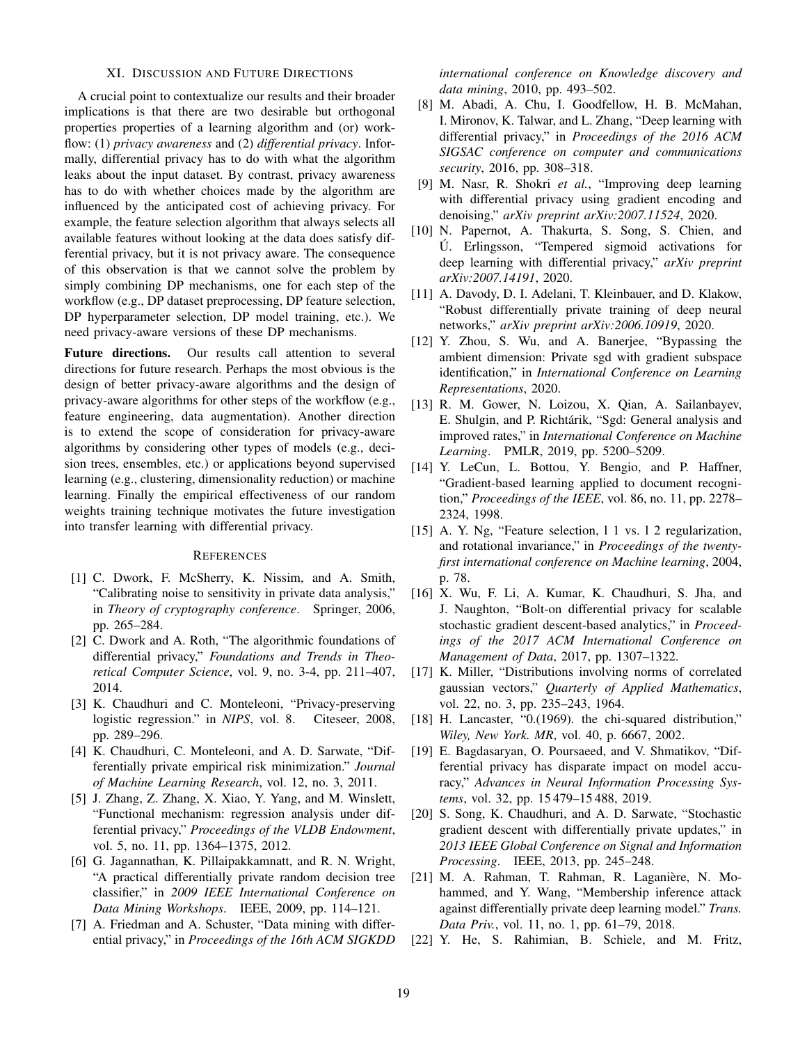# XI. DISCUSSION AND FUTURE DIRECTIONS

<span id="page-18-12"></span>A crucial point to contextualize our results and their broader implications is that there are two desirable but orthogonal properties properties of a learning algorithm and (or) workflow: (1) *privacy awareness* and (2) *differential privacy*. Informally, differential privacy has to do with what the algorithm leaks about the input dataset. By contrast, privacy awareness has to do with whether choices made by the algorithm are influenced by the anticipated cost of achieving privacy. For example, the feature selection algorithm that always selects all available features without looking at the data does satisfy differential privacy, but it is not privacy aware. The consequence of this observation is that we cannot solve the problem by simply combining DP mechanisms, one for each step of the workflow (e.g., DP dataset preprocessing, DP feature selection, DP hyperparameter selection, DP model training, etc.). We need privacy-aware versions of these DP mechanisms.

Future directions. Our results call attention to several directions for future research. Perhaps the most obvious is the design of better privacy-aware algorithms and the design of privacy-aware algorithms for other steps of the workflow (e.g., feature engineering, data augmentation). Another direction is to extend the scope of consideration for privacy-aware algorithms by considering other types of models (e.g., decision trees, ensembles, etc.) or applications beyond supervised learning (e.g., clustering, dimensionality reduction) or machine learning. Finally the empirical effectiveness of our random weights training technique motivates the future investigation into transfer learning with differential privacy.

#### **REFERENCES**

- <span id="page-18-0"></span>[1] C. Dwork, F. McSherry, K. Nissim, and A. Smith, "Calibrating noise to sensitivity in private data analysis," in *Theory of cryptography conference*. Springer, 2006, pp. 265–284.
- <span id="page-18-1"></span>[2] C. Dwork and A. Roth, "The algorithmic foundations of differential privacy," *Foundations and Trends in Theoretical Computer Science*, vol. 9, no. 3-4, pp. 211–407, 2014.
- <span id="page-18-2"></span>[3] K. Chaudhuri and C. Monteleoni, "Privacy-preserving logistic regression." in *NIPS*, vol. 8. Citeseer, 2008, pp. 289–296.
- <span id="page-18-3"></span>[4] K. Chaudhuri, C. Monteleoni, and A. D. Sarwate, "Differentially private empirical risk minimization." *Journal of Machine Learning Research*, vol. 12, no. 3, 2011.
- <span id="page-18-4"></span>[5] J. Zhang, Z. Zhang, X. Xiao, Y. Yang, and M. Winslett, "Functional mechanism: regression analysis under differential privacy," *Proceedings of the VLDB Endowment*, vol. 5, no. 11, pp. 1364–1375, 2012.
- <span id="page-18-5"></span>[6] G. Jagannathan, K. Pillaipakkamnatt, and R. N. Wright, "A practical differentially private random decision tree classifier," in *2009 IEEE International Conference on Data Mining Workshops*. IEEE, 2009, pp. 114–121.
- <span id="page-18-6"></span>[7] A. Friedman and A. Schuster, "Data mining with differ-

*international conference on Knowledge discovery and data mining*, 2010, pp. 493–502.

- <span id="page-18-7"></span>[8] M. Abadi, A. Chu, I. Goodfellow, H. B. McMahan, I. Mironov, K. Talwar, and L. Zhang, "Deep learning with differential privacy," in *Proceedings of the 2016 ACM SIGSAC conference on computer and communications security*, 2016, pp. 308–318.
- <span id="page-18-8"></span>[9] M. Nasr, R. Shokri *et al.*, "Improving deep learning with differential privacy using gradient encoding and denoising," *arXiv preprint arXiv:2007.11524*, 2020.
- <span id="page-18-20"></span>[10] N. Papernot, A. Thakurta, S. Song, S. Chien, and U. Erlingsson, "Tempered sigmoid activations for ´ deep learning with differential privacy," *arXiv preprint arXiv:2007.14191*, 2020.
- <span id="page-18-21"></span>[11] A. Davody, D. I. Adelani, T. Kleinbauer, and D. Klakow, "Robust differentially private training of deep neural networks," *arXiv preprint arXiv:2006.10919*, 2020.
- <span id="page-18-9"></span>[12] Y. Zhou, S. Wu, and A. Banerjee, "Bypassing the ambient dimension: Private sgd with gradient subspace identification," in *International Conference on Learning Representations*, 2020.
- <span id="page-18-10"></span>[13] R. M. Gower, N. Loizou, X. Qian, A. Sailanbayev, E. Shulgin, and P. Richtárik, "Sgd: General analysis and improved rates," in *International Conference on Machine Learning*. PMLR, 2019, pp. 5200–5209.
- <span id="page-18-11"></span>[14] Y. LeCun, L. Bottou, Y. Bengio, and P. Haffner, "Gradient-based learning applied to document recognition," *Proceedings of the IEEE*, vol. 86, no. 11, pp. 2278– 2324, 1998.
- <span id="page-18-16"></span>[15] A. Y. Ng, "Feature selection, 1 1 vs. 1 2 regularization, and rotational invariance," in *Proceedings of the twentyfirst international conference on Machine learning*, 2004, p. 78.
- <span id="page-18-13"></span>[16] X. Wu, F. Li, A. Kumar, K. Chaudhuri, S. Jha, and J. Naughton, "Bolt-on differential privacy for scalable stochastic gradient descent-based analytics," in *Proceedings of the 2017 ACM International Conference on Management of Data*, 2017, pp. 1307–1322.
- <span id="page-18-14"></span>[17] K. Miller, "Distributions involving norms of correlated gaussian vectors," *Quarterly of Applied Mathematics*, vol. 22, no. 3, pp. 235–243, 1964.
- <span id="page-18-15"></span>[18] H. Lancaster, "0.(1969). the chi-squared distribution," *Wiley, New York. MR*, vol. 40, p. 6667, 2002.
- <span id="page-18-17"></span>[19] E. Bagdasaryan, O. Poursaeed, and V. Shmatikov, "Differential privacy has disparate impact on model accuracy," *Advances in Neural Information Processing Systems*, vol. 32, pp. 15 479–15 488, 2019.
- <span id="page-18-18"></span>[20] S. Song, K. Chaudhuri, and A. D. Sarwate, "Stochastic gradient descent with differentially private updates," in *2013 IEEE Global Conference on Signal and Information Processing*. IEEE, 2013, pp. 245–248.
- <span id="page-18-19"></span>[21] M. A. Rahman, T. Rahman, R. Laganière, N. Mohammed, and Y. Wang, "Membership inference attack against differentially private deep learning model." *Trans. Data Priv.*, vol. 11, no. 1, pp. 61–79, 2018.
- ential privacy," in *Proceedings of the 16th ACM SIGKDD* [22] Y. He, S. Rahimian, B. Schiele, and M. Fritz,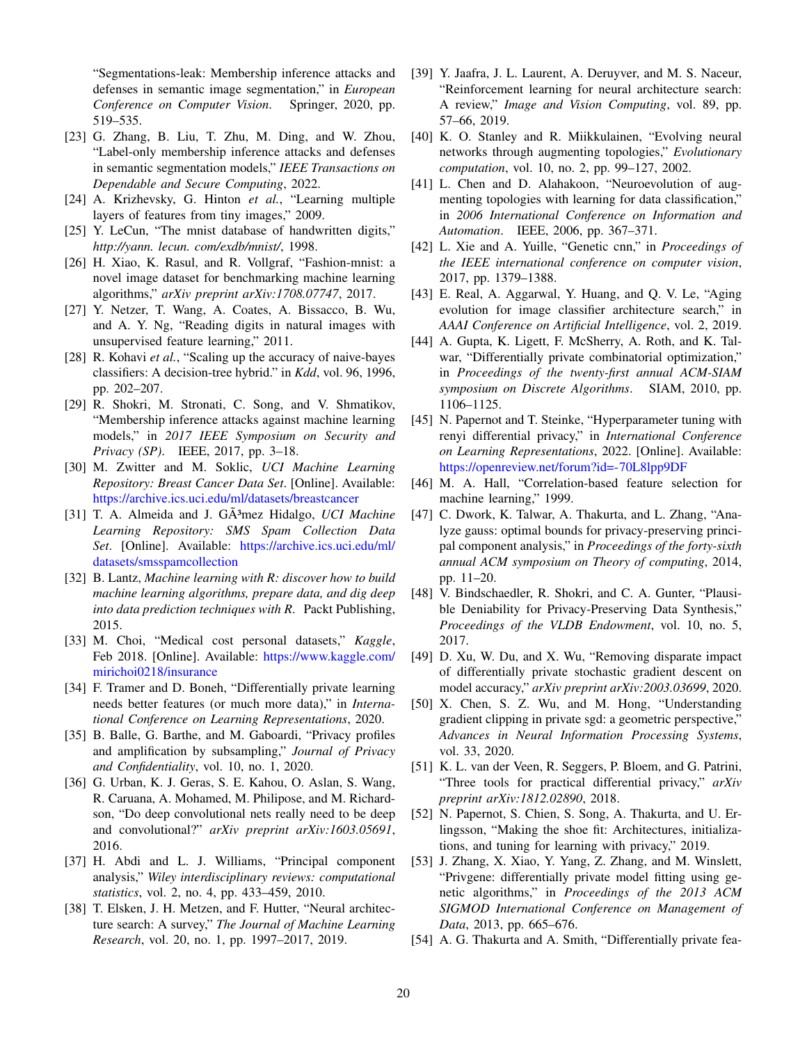"Segmentations-leak: Membership inference attacks and defenses in semantic image segmentation," in *European Conference on Computer Vision*. Springer, 2020, pp. 519–535.

- <span id="page-19-0"></span>[23] G. Zhang, B. Liu, T. Zhu, M. Ding, and W. Zhou, "Label-only membership inference attacks and defenses in semantic segmentation models," *IEEE Transactions on Dependable and Secure Computing*, 2022.
- <span id="page-19-1"></span>[24] A. Krizhevsky, G. Hinton *et al.*, "Learning multiple layers of features from tiny images," 2009.
- <span id="page-19-2"></span>[25] Y. LeCun, "The mnist database of handwritten digits," *http://yann. lecun. com/exdb/mnist/*, 1998.
- <span id="page-19-3"></span>[26] H. Xiao, K. Rasul, and R. Vollgraf, "Fashion-mnist: a novel image dataset for benchmarking machine learning algorithms," *arXiv preprint arXiv:1708.07747*, 2017.
- <span id="page-19-4"></span>[27] Y. Netzer, T. Wang, A. Coates, A. Bissacco, B. Wu, and A. Y. Ng, "Reading digits in natural images with unsupervised feature learning," 2011.
- <span id="page-19-5"></span>[28] R. Kohavi *et al.*, "Scaling up the accuracy of naive-bayes classifiers: A decision-tree hybrid." in *Kdd*, vol. 96, 1996, pp. 202–207.
- <span id="page-19-6"></span>[29] R. Shokri, M. Stronati, C. Song, and V. Shmatikov, "Membership inference attacks against machine learning models," in *2017 IEEE Symposium on Security and Privacy (SP)*. IEEE, 2017, pp. 3–18.
- <span id="page-19-7"></span>[30] M. Zwitter and M. Soklic, *UCI Machine Learning Repository: Breast Cancer Data Set*. [Online]. Available: [https://archive.ics.uci.edu/ml/datasets/breastcancer](https://archive.ics.uci.edu/ml/datasets/breast cancer)
- <span id="page-19-8"></span>[31] T. A. Almeida and J. GA<sup>3</sup>mez Hidalgo, *UCI Machine Learning Repository: SMS Spam Collection Data Set*. [Online]. Available: [https://archive.ics.uci.edu/ml/](https://archive.ics.uci.edu/ml/datasets/sms spam collection) [datasets/smsspamcollection](https://archive.ics.uci.edu/ml/datasets/sms spam collection)
- <span id="page-19-9"></span>[32] B. Lantz, *Machine learning with R: discover how to build machine learning algorithms, prepare data, and dig deep into data prediction techniques with R*. Packt Publishing, 2015.
- <span id="page-19-10"></span>[33] M. Choi, "Medical cost personal datasets," *Kaggle*, Feb 2018. [Online]. Available: [https://www.kaggle.com/](https://www.kaggle.com/mirichoi0218/insurance) [mirichoi0218/insurance](https://www.kaggle.com/mirichoi0218/insurance)
- <span id="page-19-11"></span>[34] F. Tramer and D. Boneh, "Differentially private learning needs better features (or much more data)," in *International Conference on Learning Representations*, 2020.
- <span id="page-19-12"></span>[35] B. Balle, G. Barthe, and M. Gaboardi, "Privacy profiles and amplification by subsampling," *Journal of Privacy and Confidentiality*, vol. 10, no. 1, 2020.
- <span id="page-19-13"></span>[36] G. Urban, K. J. Geras, S. E. Kahou, O. Aslan, S. Wang, R. Caruana, A. Mohamed, M. Philipose, and M. Richardson, "Do deep convolutional nets really need to be deep and convolutional?" *arXiv preprint arXiv:1603.05691*, 2016.
- <span id="page-19-14"></span>[37] H. Abdi and L. J. Williams, "Principal component analysis," *Wiley interdisciplinary reviews: computational statistics*, vol. 2, no. 4, pp. 433–459, 2010.
- <span id="page-19-15"></span>[38] T. Elsken, J. H. Metzen, and F. Hutter, "Neural architecture search: A survey," *The Journal of Machine Learning Research*, vol. 20, no. 1, pp. 1997–2017, 2019.
- <span id="page-19-16"></span>[39] Y. Jaafra, J. L. Laurent, A. Deruyver, and M. S. Naceur, "Reinforcement learning for neural architecture search: A review," *Image and Vision Computing*, vol. 89, pp. 57–66, 2019.
- <span id="page-19-17"></span>[40] K. O. Stanley and R. Miikkulainen, "Evolving neural networks through augmenting topologies," *Evolutionary computation*, vol. 10, no. 2, pp. 99–127, 2002.
- [41] L. Chen and D. Alahakoon, "Neuroevolution of augmenting topologies with learning for data classification," in *2006 International Conference on Information and Automation*. IEEE, 2006, pp. 367–371.
- <span id="page-19-18"></span>[42] L. Xie and A. Yuille, "Genetic cnn," in *Proceedings of the IEEE international conference on computer vision*, 2017, pp. 1379–1388.
- <span id="page-19-19"></span>[43] E. Real, A. Aggarwal, Y. Huang, and Q. V. Le, "Aging evolution for image classifier architecture search," in *AAAI Conference on Artificial Intelligence*, vol. 2, 2019.
- <span id="page-19-20"></span>[44] A. Gupta, K. Ligett, F. McSherry, A. Roth, and K. Talwar, "Differentially private combinatorial optimization," in *Proceedings of the twenty-first annual ACM-SIAM symposium on Discrete Algorithms*. SIAM, 2010, pp. 1106–1125.
- <span id="page-19-21"></span>[45] N. Papernot and T. Steinke, "Hyperparameter tuning with renyi differential privacy," in *International Conference on Learning Representations*, 2022. [Online]. Available: <https://openreview.net/forum?id=-70L8lpp9DF>
- <span id="page-19-22"></span>[46] M. A. Hall, "Correlation-based feature selection for machine learning," 1999.
- <span id="page-19-23"></span>[47] C. Dwork, K. Talwar, A. Thakurta, and L. Zhang, "Analyze gauss: optimal bounds for privacy-preserving principal component analysis," in *Proceedings of the forty-sixth annual ACM symposium on Theory of computing*, 2014, pp. 11–20.
- <span id="page-19-24"></span>[48] V. Bindschaedler, R. Shokri, and C. A. Gunter, "Plausible Deniability for Privacy-Preserving Data Synthesis," *Proceedings of the VLDB Endowment*, vol. 10, no. 5, 2017.
- <span id="page-19-25"></span>[49] D. Xu, W. Du, and X. Wu, "Removing disparate impact of differentially private stochastic gradient descent on model accuracy," *arXiv preprint arXiv:2003.03699*, 2020.
- <span id="page-19-26"></span>[50] X. Chen, S. Z. Wu, and M. Hong, "Understanding gradient clipping in private sgd: a geometric perspective," *Advances in Neural Information Processing Systems*, vol. 33, 2020.
- <span id="page-19-27"></span>[51] K. L. van der Veen, R. Seggers, P. Bloem, and G. Patrini, "Three tools for practical differential privacy," *arXiv preprint arXiv:1812.02890*, 2018.
- <span id="page-19-28"></span>[52] N. Papernot, S. Chien, S. Song, A. Thakurta, and U. Erlingsson, "Making the shoe fit: Architectures, initializations, and tuning for learning with privacy," 2019.
- <span id="page-19-29"></span>[53] J. Zhang, X. Xiao, Y. Yang, Z. Zhang, and M. Winslett, "Privgene: differentially private model fitting using genetic algorithms," in *Proceedings of the 2013 ACM SIGMOD International Conference on Management of Data*, 2013, pp. 665–676.
- <span id="page-19-30"></span>[54] A. G. Thakurta and A. Smith, "Differentially private fea-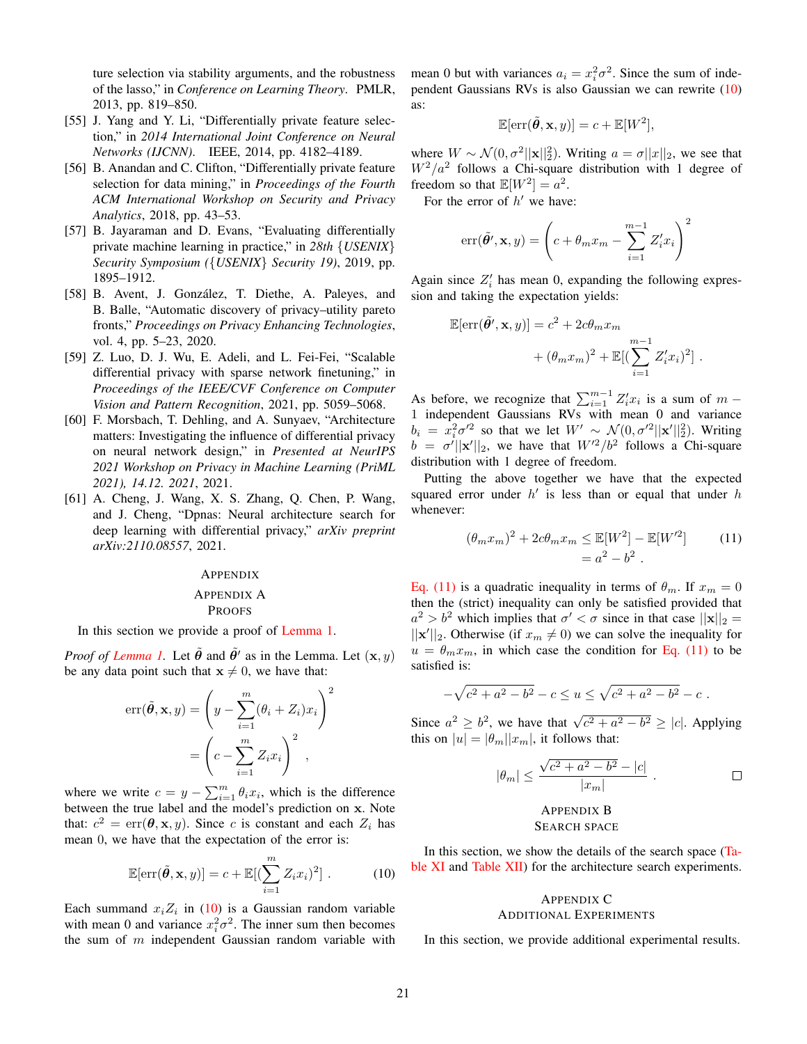ture selection via stability arguments, and the robustness of the lasso," in *Conference on Learning Theory*. PMLR, 2013, pp. 819–850.

- [55] J. Yang and Y. Li, "Differentially private feature selection," in *2014 International Joint Conference on Neural Networks (IJCNN)*. IEEE, 2014, pp. 4182–4189.
- <span id="page-20-3"></span>[56] B. Anandan and C. Clifton, "Differentially private feature selection for data mining," in *Proceedings of the Fourth ACM International Workshop on Security and Privacy Analytics*, 2018, pp. 43–53.
- <span id="page-20-4"></span>[57] B. Jayaraman and D. Evans, "Evaluating differentially private machine learning in practice," in *28th* {*USENIX*} *Security Symposium (*{*USENIX*} *Security 19)*, 2019, pp. 1895–1912.
- <span id="page-20-5"></span>[58] B. Avent, J. González, T. Diethe, A. Paleyes, and B. Balle, "Automatic discovery of privacy–utility pareto fronts," *Proceedings on Privacy Enhancing Technologies*, vol. 4, pp. 5–23, 2020.
- <span id="page-20-6"></span>[59] Z. Luo, D. J. Wu, E. Adeli, and L. Fei-Fei, "Scalable differential privacy with sparse network finetuning," in *Proceedings of the IEEE/CVF Conference on Computer Vision and Pattern Recognition*, 2021, pp. 5059–5068.
- <span id="page-20-7"></span>[60] F. Morsbach, T. Dehling, and A. Sunyaev, "Architecture matters: Investigating the influence of differential privacy on neural network design," in *Presented at NeurIPS 2021 Workshop on Privacy in Machine Learning (PriML 2021), 14.12. 2021*, 2021.
- <span id="page-20-8"></span>[61] A. Cheng, J. Wang, X. S. Zhang, Q. Chen, P. Wang, and J. Cheng, "Dpnas: Neural architecture search for deep learning with differential privacy," *arXiv preprint arXiv:2110.08557*, 2021.

#### APPENDIX

# <span id="page-20-0"></span>APPENDIX A PROOFS

In this section we provide a proof of [Lemma 1.](#page-3-2)

*Proof of [Lemma 1.](#page-3-2)* Let  $\hat{\theta}$  and  $\hat{\theta}'$  as in the Lemma. Let  $(\mathbf{x}, y)$ be any data point such that  $x \neq 0$ , we have that:

$$
err(\tilde{\theta}, \mathbf{x}, y) = \left(y - \sum_{i=1}^{m} (\theta_i + Z_i)x_i\right)^2
$$

$$
= \left(c - \sum_{i=1}^{m} Z_i x_i\right)^2,
$$

where we write  $c = y - \sum_{i=1}^{m} \theta_i x_i$ , which is the difference between the true label and the model's prediction on x. Note that:  $c^2 = \text{err}(\boldsymbol{\theta}, \mathbf{x}, y)$ . Since c is constant and each  $Z_i$  has mean 0, we have that the expectation of the error is:

<span id="page-20-9"></span>
$$
\mathbb{E}[\text{err}(\tilde{\boldsymbol{\theta}}, \mathbf{x}, y)] = c + \mathbb{E}[(\sum_{i=1}^{m} Z_i x_i)^2].
$$
 (10)

Each summand  $x_i Z_i$  in [\(10\)](#page-20-9) is a Gaussian random variable with mean 0 and variance  $x_i^2 \sigma^2$ . The inner sum then becomes the sum of  $m$  independent Gaussian random variable with

mean 0 but with variances  $a_i = x_i^2 \sigma^2$ . Since the sum of independent Gaussians RVs is also Gaussian we can rewrite [\(10\)](#page-20-9) as:

$$
\mathbb{E}[\text{err}(\tilde{\theta}, \mathbf{x}, y)] = c + \mathbb{E}[W^2],
$$

where  $W \sim \mathcal{N}(0, \sigma^2 ||\mathbf{x}||_2^2)$ . Writing  $a = \sigma ||x||_2$ , we see that  $W^2/a^2$  follows a Chi-square distribution with 1 degree of freedom so that  $\mathbb{E}[W^2] = a^2$ .

For the error of  $h'$  we have:

$$
err(\tilde{\boldsymbol{\theta}}', \mathbf{x}, y) = \left(c + \theta_m x_m - \sum_{i=1}^{m-1} Z_i' x_i\right)^2
$$

Again since  $Z_i'$  has mean 0, expanding the following expression and taking the expectation yields:

$$
\mathbb{E}[\text{err}(\tilde{\theta}', \mathbf{x}, y)] = c^2 + 2c\theta_m x_m
$$
  
+  $(\theta_m x_m)^2 + \mathbb{E}[(\sum_{i=1}^{m-1} Z_i' x_i)^2].$ 

As before, we recognize that  $\sum_{i=1}^{m-1} Z_i' x_i$  is a sum of  $m$  – 1 independent Gaussians RVs with mean 0 and variance  $b_i = x_i^2 \sigma'^2$  so that we let  $W' \sim \mathcal{N}(0, \sigma'^2 ||\mathbf{x}'||_2^2)$ . Writing  $b = \sigma' ||\mathbf{x}'||_2$ , we have that  $W'^2/b^2$  follows a Chi-square distribution with 1 degree of freedom.

Putting the above together we have that the expected squared error under  $h'$  is less than or equal that under  $h$ whenever:

<span id="page-20-10"></span>
$$
(\theta_m x_m)^2 + 2c\theta_m x_m \le \mathbb{E}[W^2] - \mathbb{E}[W'^2] \qquad (11)
$$
  
=  $a^2 - b^2$ .

[Eq. \(11\)](#page-20-10) is a quadratic inequality in terms of  $\theta_m$ . If  $x_m = 0$ then the (strict) inequality can only be satisfied provided that  $a^2 > b^2$  which implies that  $\sigma' < \sigma$  since in that case  $||\mathbf{x}||_2 =$  $||\mathbf{x}'||_2$ . Otherwise (if  $x_m \neq 0$ ) we can solve the inequality for  $u = \theta_m x_m$ , in which case the condition for [Eq. \(11\)](#page-20-10) to be satisfied is:

$$
-\sqrt{c^2 + a^2 - b^2} - c \le u \le \sqrt{c^2 + a^2 - b^2} - c \; .
$$

Since  $a^2 \ge b^2$ , we have that  $\sqrt{c^2 + a^2 - b^2} \ge |c|$ . Applying this on  $|u| = |\theta_m||x_m|$ , it follows that:

$$
|\theta_m| \le \frac{\sqrt{c^2 + a^2 - b^2} - |c|}{|x_m|} . \qquad \qquad \Box
$$

# <span id="page-20-2"></span>APPENDIX B SEARCH SPACE

In this section, we show the details of the search space [\(Ta](#page-21-0)[ble XI](#page-21-0) and [Table XII\)](#page-21-1) for the architecture search experiments.

# <span id="page-20-1"></span>APPENDIX C ADDITIONAL EXPERIMENTS

In this section, we provide additional experimental results.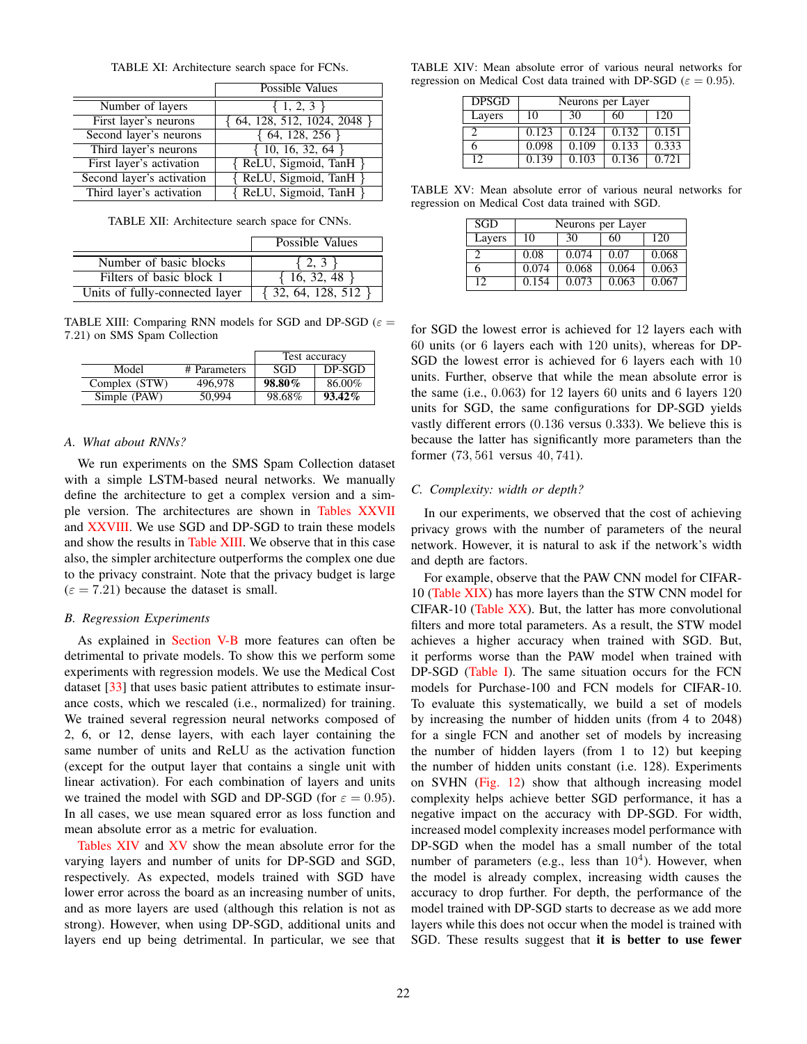TABLE XI: Architecture search space for FCNs.

<span id="page-21-0"></span>

|                           | Possible Values                |
|---------------------------|--------------------------------|
| Number of layers          | $\{1, 2, 3\}$                  |
| First layer's neurons     | $\{64, 128, 512, 1024, 2048\}$ |
| Second layer's neurons    | $\{64, 128, 256\}$             |
| Third layer's neurons     | $\{10, 16, 32, 64\}$           |
| First layer's activation  | $\{$ ReLU, Sigmoid, TanH $\}$  |
| Second layer's activation | $\{$ ReLU, Sigmoid, TanH $\}$  |
| Third layer's activation  | { ReLU, Sigmoid, TanH          |

TABLE XII: Architecture search space for CNNs.

<span id="page-21-1"></span>

|                                | Possible Values        |
|--------------------------------|------------------------|
| Number of basic blocks         | $\{2, 3\}$             |
| Filters of basic block 1       | $\{16, 32, 48\}$       |
| Units of fully-connected layer | $\{32, 64, 128, 512\}$ |

<span id="page-21-2"></span>TABLE XIII: Comparing RNN models for SGD and DP-SGD ( $\varepsilon$  = 7.21) on SMS Spam Collection

|               |              | Test accuracy |           |
|---------------|--------------|---------------|-----------|
| Model         | # Parameters | SGD           | DP-SGD    |
| Complex (STW) | 496,978      | 98.80%        | 86.00%    |
| Simple (PAW)  | 50.994       | 98.68%        | $93.42\%$ |

## *A. What about RNNs?*

We run experiments on the SMS Spam Collection dataset with a simple LSTM-based neural networks. We manually define the architecture to get a complex version and a simple version. The architectures are shown in [Tables XXVII](#page-24-3) and [XXVIII.](#page-24-4) We use SGD and DP-SGD to train these models and show the results in [Table XIII.](#page-21-2) We observe that in this case also, the simpler architecture outperforms the complex one due to the privacy constraint. Note that the privacy budget is large  $(\varepsilon = 7.21)$  because the dataset is small.

#### *B. Regression Experiments*

As explained in [Section V-B](#page-6-4) more features can often be detrimental to private models. To show this we perform some experiments with regression models. We use the Medical Cost dataset [\[33\]](#page-19-10) that uses basic patient attributes to estimate insurance costs, which we rescaled (i.e., normalized) for training. We trained several regression neural networks composed of 2, 6, or 12, dense layers, with each layer containing the same number of units and ReLU as the activation function (except for the output layer that contains a single unit with linear activation). For each combination of layers and units we trained the model with SGD and DP-SGD (for  $\varepsilon = 0.95$ ). In all cases, we use mean squared error as loss function and mean absolute error as a metric for evaluation.

[Tables XIV](#page-21-3) and [XV](#page-21-4) show the mean absolute error for the varying layers and number of units for DP-SGD and SGD, respectively. As expected, models trained with SGD have lower error across the board as an increasing number of units, and as more layers are used (although this relation is not as strong). However, when using DP-SGD, additional units and layers end up being detrimental. In particular, we see that

<span id="page-21-3"></span>TABLE XIV: Mean absolute error of various neural networks for regression on Medical Cost data trained with DP-SGD ( $\varepsilon = 0.95$ ).

| <b>DPSGD</b> | Neurons per Layer |       |       |       |
|--------------|-------------------|-------|-------|-------|
| Layers       | 10                | 30    | 60    | 120   |
|              | 0.123             | 0.124 | 0.132 | 0.151 |
| h            | 0.098             | 0.109 | 0.133 | 0.333 |
| 12           | 0.139             | 0.103 | 0.136 | 0.721 |

<span id="page-21-4"></span>TABLE XV: Mean absolute error of various neural networks for regression on Medical Cost data trained with SGD.

| SGD    | Neurons per Layer |       |       |       |
|--------|-------------------|-------|-------|-------|
| Layers | 10                | 30    | 60    | 120   |
| 2      | 0.08              | 0.074 | 0.07  | 0.068 |
| 6      | 0.074             | 0.068 | 0.064 | 0.063 |
| 12     | 0.154             | 0.073 | 0.063 | 0.067 |

for SGD the lowest error is achieved for 12 layers each with 60 units (or 6 layers each with 120 units), whereas for DP-SGD the lowest error is achieved for 6 layers each with 10 units. Further, observe that while the mean absolute error is the same (i.e., 0.063) for 12 layers 60 units and 6 layers 120 units for SGD, the same configurations for DP-SGD yields vastly different errors (0.136 versus 0.333). We believe this is because the latter has significantly more parameters than the former (73, 561 versus 40, 741).

#### *C. Complexity: width or depth?*

In our experiments, we observed that the cost of achieving privacy grows with the number of parameters of the neural network. However, it is natural to ask if the network's width and depth are factors.

For example, observe that the PAW CNN model for CIFAR-10 [\(Table XIX\)](#page-22-3) has more layers than the STW CNN model for CIFAR-10 [\(Table XX\)](#page-23-0). But, the latter has more convolutional filters and more total parameters. As a result, the STW model achieves a higher accuracy when trained with SGD. But, it performs worse than the PAW model when trained with DP-SGD [\(Table I\)](#page-6-1). The same situation occurs for the FCN models for Purchase-100 and FCN models for CIFAR-10. To evaluate this systematically, we build a set of models by increasing the number of hidden units (from 4 to 2048) for a single FCN and another set of models by increasing the number of hidden layers (from 1 to 12) but keeping the number of hidden units constant (i.e. 128). Experiments on SVHN [\(Fig. 12\)](#page-23-1) show that although increasing model complexity helps achieve better SGD performance, it has a negative impact on the accuracy with DP-SGD. For width, increased model complexity increases model performance with DP-SGD when the model has a small number of the total number of parameters (e.g., less than  $10<sup>4</sup>$ ). However, when the model is already complex, increasing width causes the accuracy to drop further. For depth, the performance of the model trained with DP-SGD starts to decrease as we add more layers while this does not occur when the model is trained with SGD. These results suggest that it is better to use fewer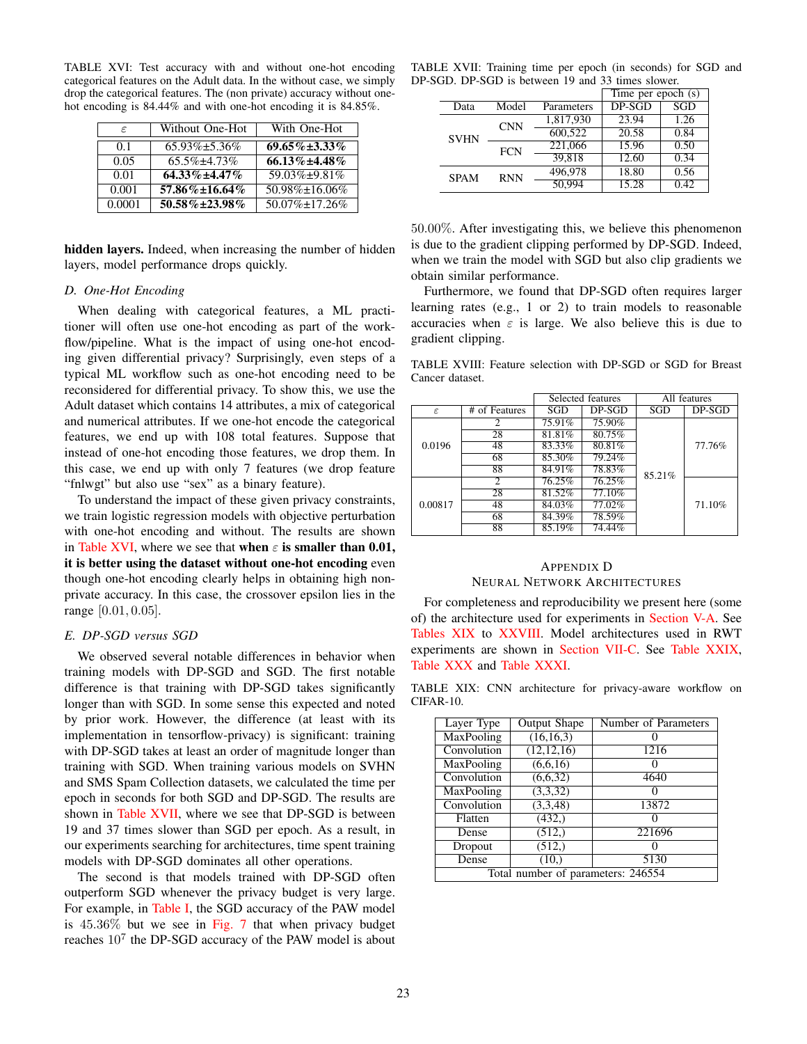| $\epsilon$ | Without One-Hot       | With One-Hot          |
|------------|-----------------------|-----------------------|
| 0.1        | $65.93\% \pm 5.36\%$  | $69.65\% \pm 3.33\%$  |
| 0.05       | $65.5\% \pm 4.73\%$   | $66.13\% \pm 4.48\%$  |
| 0.01       | $64.33\% \pm 4.47\%$  | 59.03%±9.81%          |
| 0.001      | $57.86\% \pm 16.64\%$ | $50.98\% \pm 16.06\%$ |
| 0.0001     | $50.58\% \pm 23.98\%$ | 50.07% ± 17.26%       |

<span id="page-22-4"></span>TABLE XVI: Test accuracy with and without one-hot encoding categorical features on the Adult data. In the without case, we simply drop the categorical features. The (non private) accuracy without onehot encoding is 84.44% and with one-hot encoding it is 84.85%.

hidden layers. Indeed, when increasing the number of hidden layers, model performance drops quickly.

## *D. One-Hot Encoding*

When dealing with categorical features, a ML practitioner will often use one-hot encoding as part of the workflow/pipeline. What is the impact of using one-hot encoding given differential privacy? Surprisingly, even steps of a typical ML workflow such as one-hot encoding need to be reconsidered for differential privacy. To show this, we use the Adult dataset which contains 14 attributes, a mix of categorical and numerical attributes. If we one-hot encode the categorical features, we end up with 108 total features. Suppose that instead of one-hot encoding those features, we drop them. In this case, we end up with only 7 features (we drop feature "fnlwgt" but also use "sex" as a binary feature).

To understand the impact of these given privacy constraints, we train logistic regression models with objective perturbation with one-hot encoding and without. The results are shown in [Table XVI,](#page-22-4) where we see that when  $\varepsilon$  is smaller than 0.01, it is better using the dataset without one-hot encoding even though one-hot encoding clearly helps in obtaining high nonprivate accuracy. In this case, the crossover epsilon lies in the range [0.01, 0.05].

#### <span id="page-22-0"></span>*E. DP-SGD versus SGD*

We observed several notable differences in behavior when training models with DP-SGD and SGD. The first notable difference is that training with DP-SGD takes significantly longer than with SGD. In some sense this expected and noted by prior work. However, the difference (at least with its implementation in tensorflow-privacy) is significant: training with DP-SGD takes at least an order of magnitude longer than training with SGD. When training various models on SVHN and SMS Spam Collection datasets, we calculated the time per epoch in seconds for both SGD and DP-SGD. The results are shown in [Table XVII,](#page-22-5) where we see that DP-SGD is between 19 and 37 times slower than SGD per epoch. As a result, in our experiments searching for architectures, time spent training models with DP-SGD dominates all other operations.

The second is that models trained with DP-SGD often outperform SGD whenever the privacy budget is very large. For example, in [Table I,](#page-6-1) the SGD accuracy of the PAW model is  $45.36\%$  but we see in [Fig. 7](#page-9-2) that when privacy budget reaches  $10<sup>7</sup>$  the DP-SGD accuracy of the PAW model is about

<span id="page-22-5"></span>TABLE XVII: Training time per epoch (in seconds) for SGD and DP-SGD. DP-SGD is between 19 and 33 times slower.

|             |            |            | Time per epoch (s) |      |
|-------------|------------|------------|--------------------|------|
| Data        | Model      | Parameters | $DP-SGD$           | SGD  |
|             | <b>CNN</b> | 1,817,930  | 23.94              | 1.26 |
| <b>SVHN</b> |            | 600,522    | 20.58              | 0.84 |
|             | <b>FCN</b> | 221,066    | 15.96              | 0.50 |
|             |            | 39,818     | 12.60              | 0.34 |
| <b>SPAM</b> | <b>RNN</b> | 496.978    | 18.80              | 0.56 |
|             |            | 50.994     | 15.28              | 0.42 |

50.00%. After investigating this, we believe this phenomenon is due to the gradient clipping performed by DP-SGD. Indeed, when we train the model with SGD but also clip gradients we obtain similar performance.

Furthermore, we found that DP-SGD often requires larger learning rates (e.g., 1 or 2) to train models to reasonable accuracies when  $\varepsilon$  is large. We also believe this is due to gradient clipping.

<span id="page-22-2"></span>TABLE XVIII: Feature selection with DP-SGD or SGD for Breast Cancer dataset.

|         |               |        | Selected features |        | All features |
|---------|---------------|--------|-------------------|--------|--------------|
| ε       | # of Features | SGD    | DP-SGD            | SGD    | DP-SGD       |
|         | 2             | 75.91% | 75.90%            |        |              |
|         | 28            | 81.81% | 80.75%            |        |              |
| 0.0196  | 48            | 83.33% | 80.81%            |        | 77.76%       |
|         | 68            | 85.30% | 79.24%            |        |              |
|         | 88            | 84.91% | 78.83%            | 85.21% |              |
|         | 2             | 76.25% | 76.25%            |        |              |
|         | 28            | 81.52% | 77.10%            |        |              |
| 0.00817 | 48            | 84.03% | 77.02%            |        | 71.10%       |
|         | 68            | 84.39% | 78.59%            |        |              |
|         | 88            | 85.19% | 74.44%            |        |              |

# <span id="page-22-1"></span>APPENDIX D NEURAL NETWORK ARCHITECTURES

For completeness and reproducibility we present here (some of) the architecture used for experiments in [Section V-A.](#page-6-3) See [Tables XIX](#page-22-3) to [XXVIII.](#page-24-4) Model architectures used in RWT experiments are shown in [Section VII-C.](#page-11-0) See [Table XXIX,](#page-24-0) [Table XXX](#page-24-1) and [Table XXXI.](#page-24-2)

<span id="page-22-3"></span>TABLE XIX: CNN architecture for privacy-aware workflow on CIFAR-10.

| Layer Type  | Output Shape                       | Number of Parameters |  |
|-------------|------------------------------------|----------------------|--|
| MaxPooling  | (16, 16, 3)                        |                      |  |
| Convolution | (12, 12, 16)                       | 1216                 |  |
| MaxPooling  | (6,6,16)                           |                      |  |
| Convolution | (6,6,32)                           | 4640                 |  |
| MaxPooling  | (3,3,32)                           |                      |  |
| Convolution | $\overline{(3,3,48)}$              | 13872                |  |
| Flatten     | (432, )                            |                      |  |
| Dense       | (512, )                            | 221696               |  |
| Dropout     | (512, )                            |                      |  |
| Dense       | (10, )                             | 5130                 |  |
|             | Total number of parameters: 246554 |                      |  |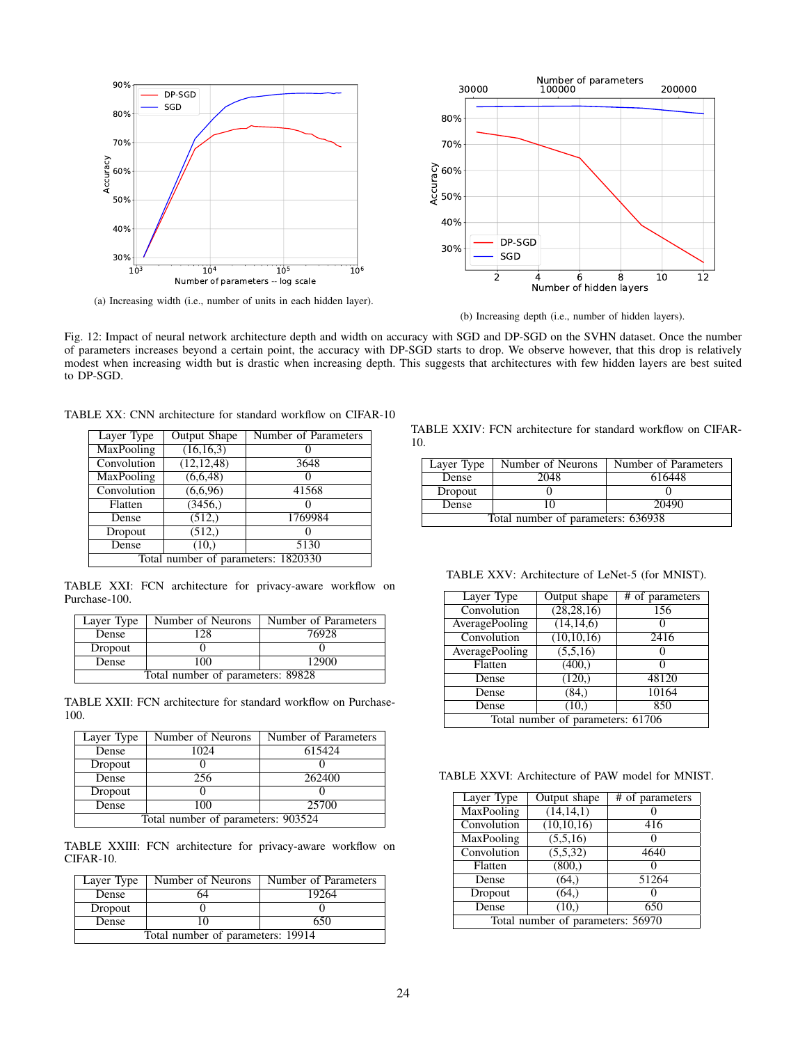<span id="page-23-1"></span>

2 4 6 8 10 12 Number of hidden layers 30% 40% 50%  $\begin{array}{c} 80\% \ \vdots \ \end{array}$ <br>add<br>address ><br>address > 70% 80% DP-SGD SGD 30000 100000 200000 Number of parameters

(a) Increasing width (i.e., number of units in each hidden layer).

(b) Increasing depth (i.e., number of hidden layers).

Fig. 12: Impact of neural network architecture depth and width on accuracy with SGD and DP-SGD on the SVHN dataset. Once the number of parameters increases beyond a certain point, the accuracy with DP-SGD starts to drop. We observe however, that this drop is relatively modest when increasing width but is drastic when increasing depth. This suggests that architectures with few hidden layers are best suited to DP-SGD.

<span id="page-23-0"></span>

| TABLE XX: CNN architecture for standard workflow on CIFAR-10 |  |
|--------------------------------------------------------------|--|
|--------------------------------------------------------------|--|

| Layer Type                          | Output Shape | Number of Parameters |
|-------------------------------------|--------------|----------------------|
| MaxPooling                          | (16, 16, 3)  |                      |
| Convolution                         | (12, 12, 48) | 3648                 |
| MaxPooling                          | (6,6,48)     |                      |
| Convolution                         | (6,6,96)     | 41568                |
| Flatten                             | (3456, )     |                      |
| Dense                               | (512, )      | 1769984              |
| Dropout                             | (512, )      |                      |
| Dense                               | (10, )       | 5130                 |
| Total number of parameters: 1820330 |              |                      |

TABLE XXI: FCN architecture for privacy-aware workflow on Purchase-100.

| Layer Type                        | Number of Neurons | Number of Parameters |
|-----------------------------------|-------------------|----------------------|
| Dense                             | 128               | 76928                |
| Dropout                           |                   |                      |
| 100<br>12900<br>Dense             |                   |                      |
| Total number of parameters: 89828 |                   |                      |

TABLE XXII: FCN architecture for standard workflow on Purchase-100.

| Layer Type                         | Number of Neurons | Number of Parameters |
|------------------------------------|-------------------|----------------------|
| Dense                              | 1024              | 615424               |
| Dropout                            |                   |                      |
| Dense                              | 256               | 262400               |
| Dropout                            |                   |                      |
| Dense                              | 100               | 25700                |
| Total number of parameters: 903524 |                   |                      |

TABLE XXIII: FCN architecture for privacy-aware workflow on CIFAR-10.

| Layer Type                        | Number of Neurons | Number of Parameters |
|-----------------------------------|-------------------|----------------------|
| Dense                             | 64                | 19264                |
| Dropout                           |                   |                      |
| Dense                             | 10                | 650                  |
| Total number of parameters: 19914 |                   |                      |

TABLE XXIV: FCN architecture for standard workflow on CIFAR-10.

| Layer Type                         | Number of Neurons | Number of Parameters |  |
|------------------------------------|-------------------|----------------------|--|
| Dense                              | 2048              | 616448               |  |
| Dropout                            |                   |                      |  |
| 20490<br>Dense                     |                   |                      |  |
| Total number of parameters: 636938 |                   |                      |  |

TABLE XXV: Architecture of LeNet-5 (for MNIST).

| Layer Type                        | Output shape | # of parameters |
|-----------------------------------|--------------|-----------------|
| Convolution                       | (28, 28, 16) | 156             |
| AveragePooling                    | (14, 14, 6)  |                 |
| Convolution                       | (10, 10, 16) | 2416            |
| AveragePooling                    | (5,5,16)     |                 |
| Flatten                           | (400)        |                 |
| Dense                             | (120, )      | 48120           |
| Dense                             | (84, )       | 10164           |
| Dense                             | (10, )       | 850             |
| Total number of parameters: 61706 |              |                 |

TABLE XXVI: Architecture of PAW model for MNIST.

| Layer Type                        | Output shape | $#$ of parameters |
|-----------------------------------|--------------|-------------------|
| <b>MaxPooling</b>                 | (14, 14, 1)  |                   |
| Convolution                       | (10,10,16)   | 416               |
| MaxPooling                        | (5,5,16)     |                   |
| Convolution                       | (5,5,32)     | 4640              |
| Flatten                           | (800)        |                   |
| Dense                             | (64, )       | 51264             |
| Dropout                           | (64, )       |                   |
| Dense                             | (10, )       | 650               |
| Total number of parameters: 56970 |              |                   |